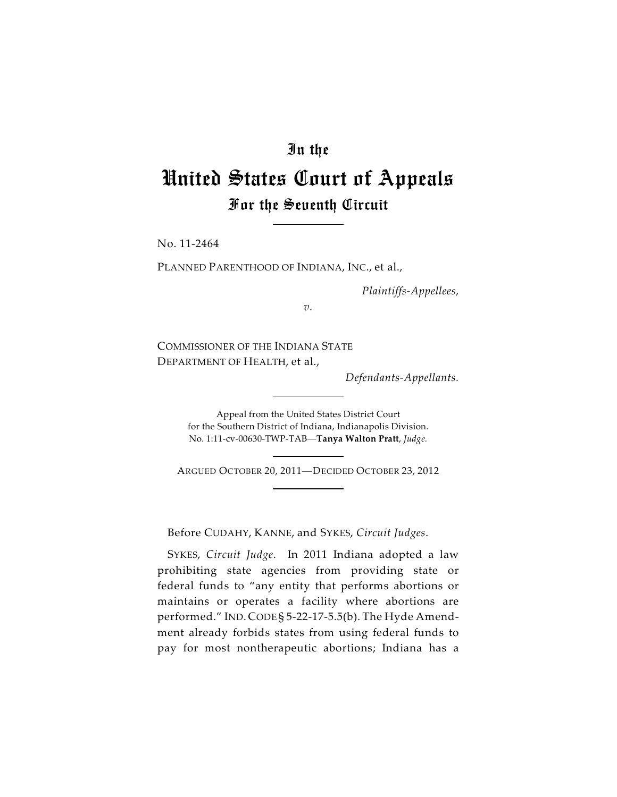## In the

# United States Court of Appeals For the Seventh Circuit

No. 11-2464

PLANNED PARENTHOOD OF INDIANA, INC., et al.,

*Plaintiffs-Appellees,*

*v.*

COMMISSIONER OF THE INDIANA STATE DEPARTMENT OF HEALTH, et al.,

*Defendants-Appellants.*

Appeal from the United States District Court for the Southern District of Indiana, Indianapolis Division. No. 1:11-cv-00630-TWP-TAB—**Tanya Walton Pratt**, *Judge.*

ARGUED OCTOBER 20, 2011—DECIDED OCTOBER 23, 2012

Before CUDAHY, KANNE, and SYKES, *Circuit Judges*.

SYKES, *Circuit Judge*. In 2011 Indiana adopted a law prohibiting state agencies from providing state or federal funds to "any entity that performs abortions or maintains or operates a facility where abortions are performed." IND. CODE § 5-22-17-5.5(b). The Hyde Amendment already forbids states from using federal funds to pay for most nontherapeutic abortions; Indiana has a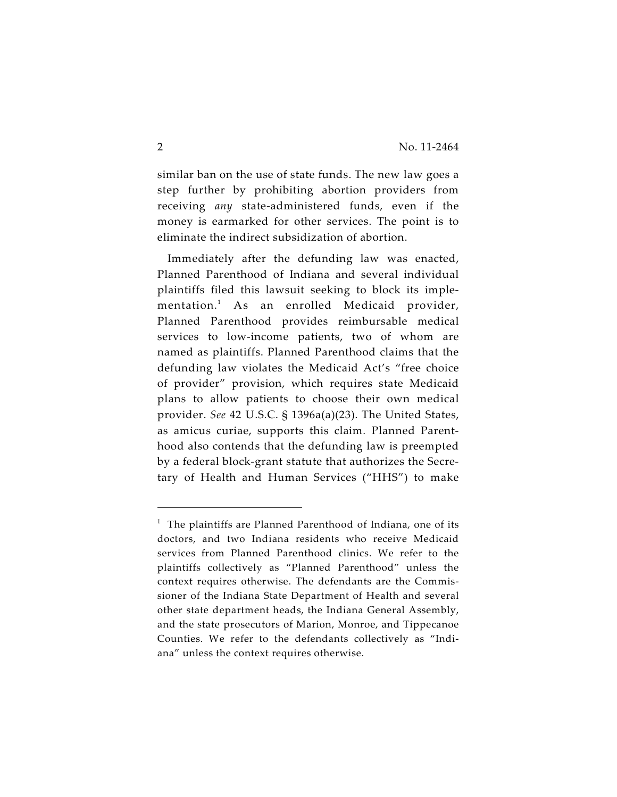similar ban on the use of state funds. The new law goes a step further by prohibiting abortion providers from receiving *any* state-administered funds, even if the money is earmarked for other services. The point is to eliminate the indirect subsidization of abortion.

Immediately after the defunding law was enacted, Planned Parenthood of Indiana and several individual plaintiffs filed this lawsuit seeking to block its implementation.<sup>1</sup> As an enrolled Medicaid provider, Planned Parenthood provides reimbursable medical services to low-income patients, two of whom are named as plaintiffs. Planned Parenthood claims that the defunding law violates the Medicaid Act's "free choice of provider" provision, which requires state Medicaid plans to allow patients to choose their own medical provider. *See* 42 U.S.C. § 1396a(a)(23). The United States, as amicus curiae, supports this claim*.* Planned Parenthood also contends that the defunding law is preempted by a federal block-grant statute that authorizes the Secretary of Health and Human Services ("HHS") to make

 $1$  The plaintiffs are Planned Parenthood of Indiana, one of its doctors, and two Indiana residents who receive Medicaid services from Planned Parenthood clinics. We refer to the plaintiffs collectively as "Planned Parenthood" unless the context requires otherwise. The defendants are the Commissioner of the Indiana State Department of Health and several other state department heads, the Indiana General Assembly, and the state prosecutors of Marion, Monroe, and Tippecanoe Counties. We refer to the defendants collectively as "Indiana" unless the context requires otherwise.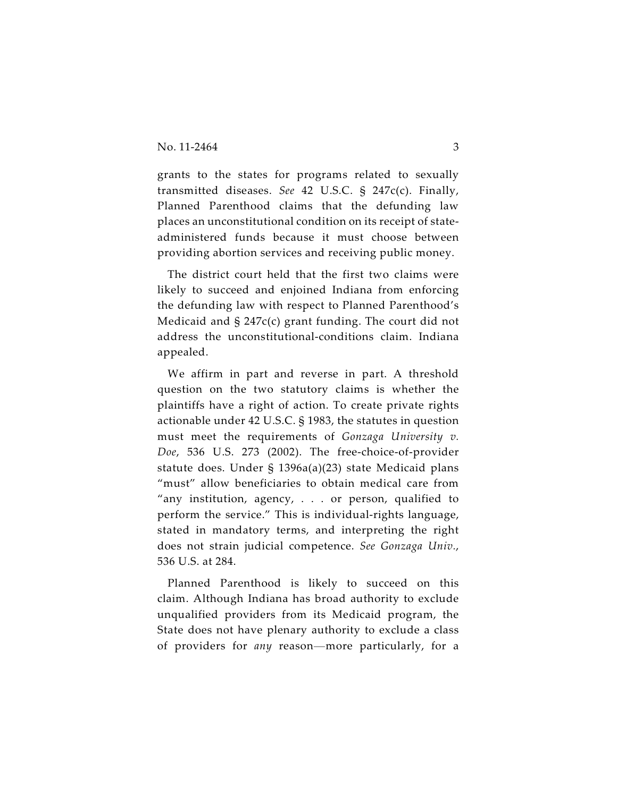grants to the states for programs related to sexually transmitted diseases. *See* 42 U.S.C. § 247c(c). Finally, Planned Parenthood claims that the defunding law places an unconstitutional condition on its receipt of stateadministered funds because it must choose between providing abortion services and receiving public money.

The district court held that the first two claims were likely to succeed and enjoined Indiana from enforcing the defunding law with respect to Planned Parenthood's Medicaid and § 247c(c) grant funding. The court did not address the unconstitutional-conditions claim. Indiana appealed.

We affirm in part and reverse in part. A threshold question on the two statutory claims is whether the plaintiffs have a right of action. To create private rights actionable under 42 U.S.C. § 1983, the statutes in question must meet the requirements of *Gonzaga University v. Doe*, 536 U.S. 273 (2002). The free-choice-of-provider statute does. Under § 1396a(a)(23) state Medicaid plans "must" allow beneficiaries to obtain medical care from "any institution, agency, . . . or person, qualified to perform the service." This is individual-rights language, stated in mandatory terms, and interpreting the right does not strain judicial competence. *See Gonzaga Univ.*, 536 U.S. at 284.

Planned Parenthood is likely to succeed on this claim. Although Indiana has broad authority to exclude unqualified providers from its Medicaid program, the State does not have plenary authority to exclude a class of providers for *any* reason—more particularly, for a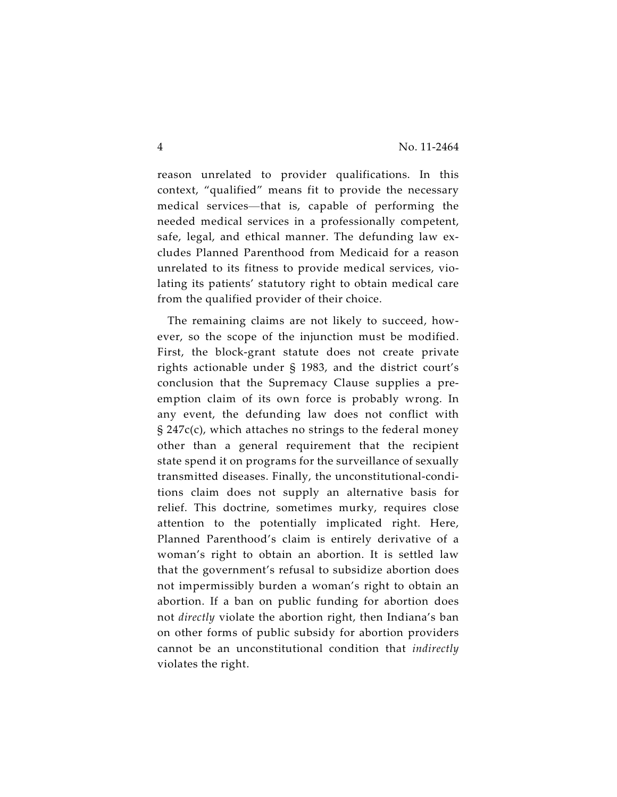reason unrelated to provider qualifications. In this context, "qualified" means fit to provide the necessary medical services—that is, capable of performing the needed medical services in a professionally competent, safe, legal, and ethical manner. The defunding law excludes Planned Parenthood from Medicaid for a reason unrelated to its fitness to provide medical services, violating its patients' statutory right to obtain medical care from the qualified provider of their choice.

The remaining claims are not likely to succeed, however, so the scope of the injunction must be modified. First, the block-grant statute does not create private rights actionable under § 1983, and the district court's conclusion that the Supremacy Clause supplies a preemption claim of its own force is probably wrong. In any event, the defunding law does not conflict with § 247c(c), which attaches no strings to the federal money other than a general requirement that the recipient state spend it on programs for the surveillance of sexually transmitted diseases. Finally, the unconstitutional-conditions claim does not supply an alternative basis for relief. This doctrine, sometimes murky, requires close attention to the potentially implicated right. Here, Planned Parenthood's claim is entirely derivative of a woman's right to obtain an abortion. It is settled law that the government's refusal to subsidize abortion does not impermissibly burden a woman's right to obtain an abortion. If a ban on public funding for abortion does not *directly* violate the abortion right, then Indiana's ban on other forms of public subsidy for abortion providers cannot be an unconstitutional condition that *indirectly* violates the right.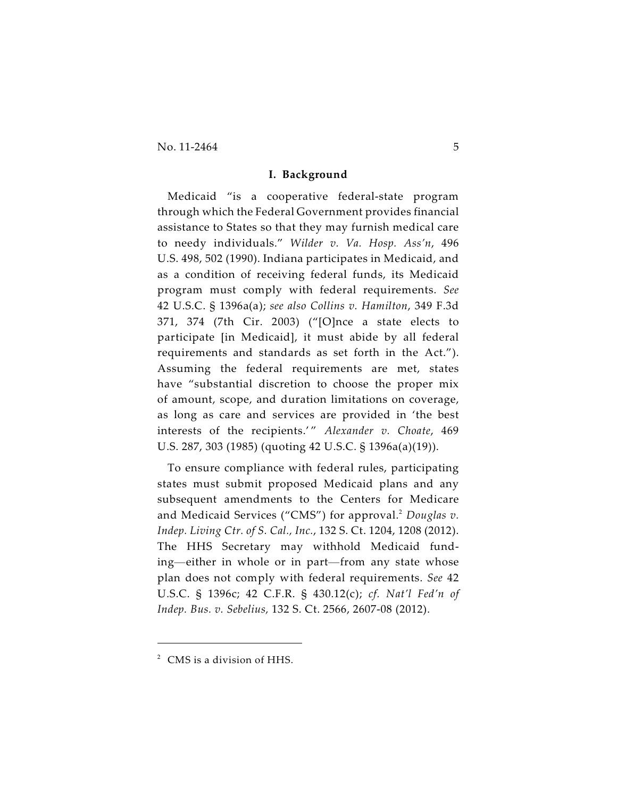$\text{No. } 11\text{-}2464$  5

#### **I. Background**

Medicaid "is a cooperative federal-state program through which the Federal Government provides financial assistance to States so that they may furnish medical care to needy individuals." *Wilder v. Va. Hosp. Ass'n*, 496 U.S. 498, 502 (1990). Indiana participates in Medicaid, and as a condition of receiving federal funds, its Medicaid program must comply with federal requirements. *See* 42 U.S.C. § 1396a(a); *see also Collins v. Hamilton*, 349 F.3d 371, 374 (7th Cir. 2003) ("[O]nce a state elects to participate [in Medicaid], it must abide by all federal requirements and standards as set forth in the Act."). Assuming the federal requirements are met, states have "substantial discretion to choose the proper mix of amount, scope, and duration limitations on coverage, as long as care and services are provided in 'the best interests of the recipients.' " *Alexander v. Choate*, 469 U.S. 287, 303 (1985) (quoting 42 U.S.C. § 1396a(a)(19)).

To ensure compliance with federal rules, participating states must submit proposed Medicaid plans and any subsequent amendments to the Centers for Medicare and Medicaid Services ("CMS") for approval.<sup>2</sup> Douglas v. *Indep. Living Ctr. of S. Cal., Inc.*, 132 S. Ct. 1204, 1208 (2012). The HHS Secretary may withhold Medicaid funding—either in whole or in part—from any state whose plan does not comply with federal requirements. *See* 42 U.S.C. § 1396c; 42 C.F.R. § 430.12(c); *cf. Nat'l Fed'n of Indep. Bus. v. Sebelius,* 132 S. Ct. 2566, 2607-08 (2012).

 $2$  CMS is a division of HHS.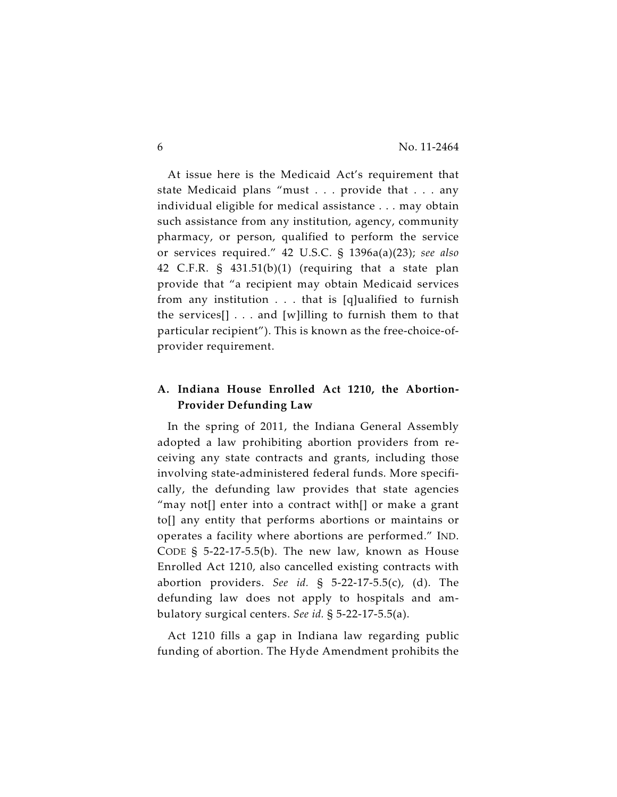At issue here is the Medicaid Act's requirement that state Medicaid plans "must . . . provide that . . . any individual eligible for medical assistance . . . may obtain such assistance from any institution, agency, community pharmacy, or person, qualified to perform the service or services required." 42 U.S.C. § 1396a(a)(23); *see also* 42 C.F.R. § 431.51(b)(1) (requiring that a state plan provide that "a recipient may obtain Medicaid services from any institution . . . that is [q]ualified to furnish the services $[] \ldots$  and [w]illing to furnish them to that particular recipient"). This is known as the free-choice-ofprovider requirement.

### **A. Indiana House Enrolled Act 1210, the Abortion-Provider Defunding Law**

In the spring of 2011, the Indiana General Assembly adopted a law prohibiting abortion providers from receiving any state contracts and grants, including those involving state-administered federal funds. More specifically, the defunding law provides that state agencies "may not[] enter into a contract with[] or make a grant to[] any entity that performs abortions or maintains or operates a facility where abortions are performed." IND. CODE § 5-22-17-5.5(b). The new law, known as House Enrolled Act 1210, also cancelled existing contracts with abortion providers. *See id.* § 5-22-17-5.5(c), (d). The defunding law does not apply to hospitals and ambulatory surgical centers. *See id.* § 5-22-17-5.5(a).

Act 1210 fills a gap in Indiana law regarding public funding of abortion. The Hyde Amendment prohibits the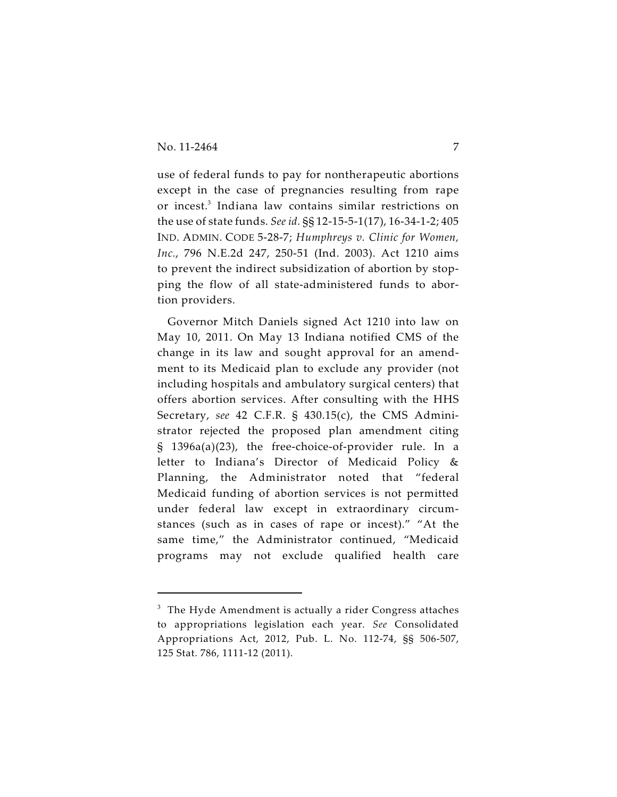use of federal funds to pay for nontherapeutic abortions except in the case of pregnancies resulting from rape or incest.<sup>3</sup> Indiana law contains similar restrictions on the use of state funds. *See id.* §§ 12-15-5-1(17), 16-34-1-2; 405 IND. ADMIN. CODE 5-28-7; *Humphreys v. Clinic for Women, Inc.*, 796 N.E.2d 247, 250-51 (Ind. 2003). Act 1210 aims to prevent the indirect subsidization of abortion by stopping the flow of all state-administered funds to abortion providers.

Governor Mitch Daniels signed Act 1210 into law on May 10, 2011. On May 13 Indiana notified CMS of the change in its law and sought approval for an amendment to its Medicaid plan to exclude any provider (not including hospitals and ambulatory surgical centers) that offers abortion services. After consulting with the HHS Secretary, *see* 42 C.F.R. § 430.15(c), the CMS Administrator rejected the proposed plan amendment citing § 1396a(a)(23), the free-choice-of-provider rule. In a letter to Indiana's Director of Medicaid Policy & Planning, the Administrator noted that "federal Medicaid funding of abortion services is not permitted under federal law except in extraordinary circumstances (such as in cases of rape or incest)." "At the same time," the Administrator continued, "Medicaid programs may not exclude qualified health care

 $3$  The Hyde Amendment is actually a rider Congress attaches to appropriations legislation each year. *See* Consolidated Appropriations Act, 2012, Pub. L. No. 112-74, §§ 506-507, 125 Stat. 786, 1111-12 (2011).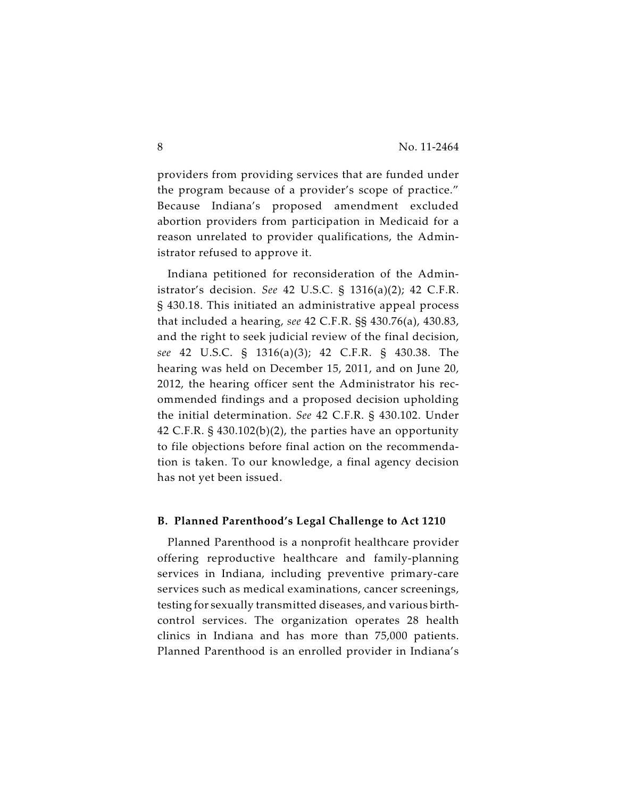providers from providing services that are funded under the program because of a provider's scope of practice." Because Indiana's proposed amendment excluded abortion providers from participation in Medicaid for a reason unrelated to provider qualifications, the Administrator refused to approve it.

Indiana petitioned for reconsideration of the Administrator's decision. *See* 42 U.S.C. § 1316(a)(2); 42 C.F.R. § 430.18. This initiated an administrative appeal process that included a hearing, *see* 42 C.F.R. §§ 430.76(a), 430.83, and the right to seek judicial review of the final decision, *see* 42 U.S.C. § 1316(a)(3); 42 C.F.R. § 430.38. The hearing was held on December 15, 2011, and on June 20, 2012, the hearing officer sent the Administrator his recommended findings and a proposed decision upholding the initial determination. *See* 42 C.F.R. § 430.102. Under 42 C.F.R. § 430.102(b)(2), the parties have an opportunity to file objections before final action on the recommendation is taken. To our knowledge, a final agency decision has not yet been issued.

#### **B. Planned Parenthood's Legal Challenge to Act 1210**

Planned Parenthood is a nonprofit healthcare provider offering reproductive healthcare and family-planning services in Indiana, including preventive primary-care services such as medical examinations, cancer screenings, testing for sexually transmitted diseases, and various birthcontrol services. The organization operates 28 health clinics in Indiana and has more than 75,000 patients. Planned Parenthood is an enrolled provider in Indiana's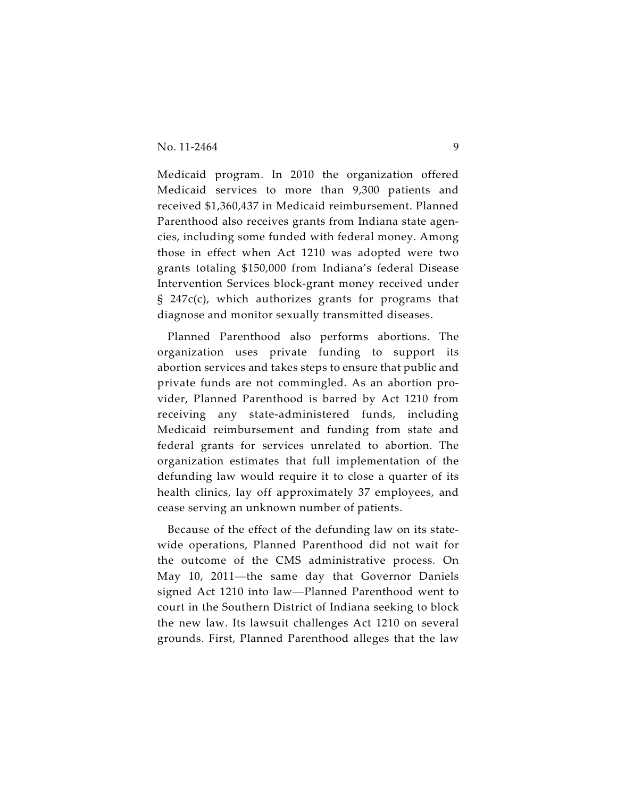Medicaid program. In 2010 the organization offered Medicaid services to more than 9,300 patients and received \$1,360,437 in Medicaid reimbursement. Planned Parenthood also receives grants from Indiana state agencies, including some funded with federal money. Among those in effect when Act 1210 was adopted were two grants totaling \$150,000 from Indiana's federal Disease Intervention Services block-grant money received under § 247c(c), which authorizes grants for programs that diagnose and monitor sexually transmitted diseases.

Planned Parenthood also performs abortions. The organization uses private funding to support its abortion services and takes steps to ensure that public and private funds are not commingled. As an abortion provider, Planned Parenthood is barred by Act 1210 from receiving any state-administered funds, including Medicaid reimbursement and funding from state and federal grants for services unrelated to abortion. The organization estimates that full implementation of the defunding law would require it to close a quarter of its health clinics, lay off approximately 37 employees, and cease serving an unknown number of patients.

Because of the effect of the defunding law on its statewide operations, Planned Parenthood did not wait for the outcome of the CMS administrative process. On May 10, 2011—the same day that Governor Daniels signed Act 1210 into law—Planned Parenthood went to court in the Southern District of Indiana seeking to block the new law. Its lawsuit challenges Act 1210 on several grounds. First, Planned Parenthood alleges that the law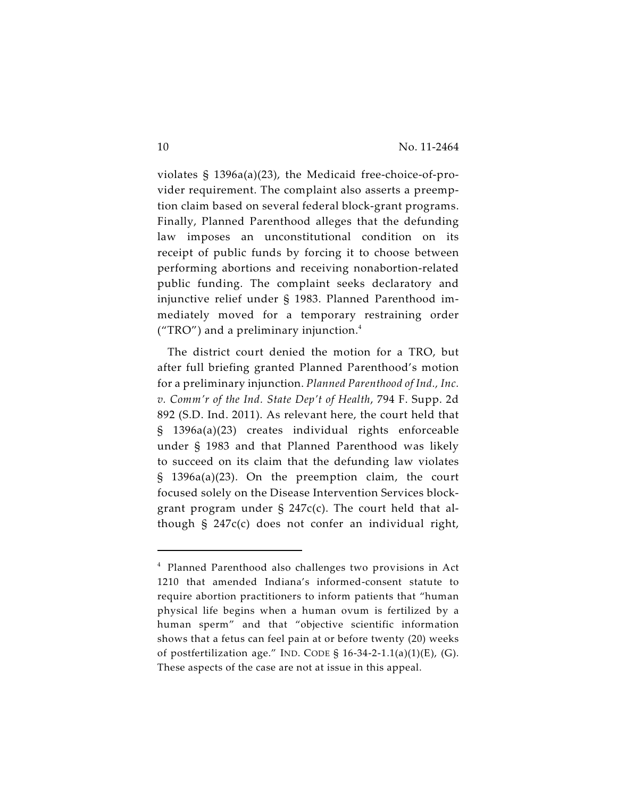violates § 1396a(a)(23), the Medicaid free-choice-of-provider requirement. The complaint also asserts a preemption claim based on several federal block-grant programs. Finally, Planned Parenthood alleges that the defunding law imposes an unconstitutional condition on its receipt of public funds by forcing it to choose between performing abortions and receiving nonabortion-related public funding. The complaint seeks declaratory and injunctive relief under § 1983. Planned Parenthood immediately moved for a temporary restraining order ("TRO") and a preliminary injunction. $4$ 

The district court denied the motion for a TRO, but after full briefing granted Planned Parenthood's motion for a preliminary injunction. *Planned Parenthood of Ind., Inc. v. Comm'r of the Ind. State Dep't of Health*, 794 F. Supp. 2d 892 (S.D. Ind. 2011). As relevant here, the court held that § 1396a(a)(23) creates individual rights enforceable under § 1983 and that Planned Parenthood was likely to succeed on its claim that the defunding law violates § 1396a(a)(23). On the preemption claim, the court focused solely on the Disease Intervention Services blockgrant program under § 247c(c). The court held that although § 247c(c) does not confer an individual right,

 $4$  Planned Parenthood also challenges two provisions in Act 1210 that amended Indiana's informed-consent statute to require abortion practitioners to inform patients that "human physical life begins when a human ovum is fertilized by a human sperm" and that "objective scientific information shows that a fetus can feel pain at or before twenty (20) weeks of postfertilization age." IND. CODE § 16-34-2-1.1(a)(1)(E), (G). These aspects of the case are not at issue in this appeal.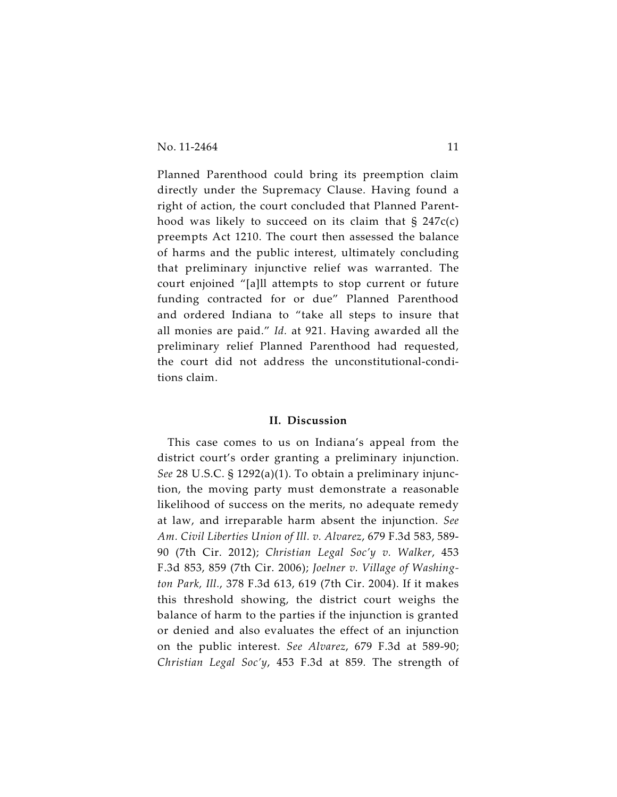Planned Parenthood could bring its preemption claim directly under the Supremacy Clause. Having found a right of action, the court concluded that Planned Parenthood was likely to succeed on its claim that § 247c(c) preempts Act 1210. The court then assessed the balance of harms and the public interest, ultimately concluding that preliminary injunctive relief was warranted. The court enjoined "[a]ll attempts to stop current or future funding contracted for or due" Planned Parenthood and ordered Indiana to "take all steps to insure that all monies are paid." *Id.* at 921. Having awarded all the preliminary relief Planned Parenthood had requested, the court did not address the unconstitutional-conditions claim.

#### **II. Discussion**

This case comes to us on Indiana's appeal from the district court's order granting a preliminary injunction. *See* 28 U.S.C. § 1292(a)(1). To obtain a preliminary injunction, the moving party must demonstrate a reasonable likelihood of success on the merits, no adequate remedy at law, and irreparable harm absent the injunction. *See Am. Civil Liberties Union of Ill. v. Alvarez*, 679 F.3d 583, 589- 90 (7th Cir. 2012); *Christian Legal Soc'y v. Walker*, 453 F.3d 853, 859 (7th Cir. 2006); *Joelner v. Village of Washington Park, Ill.*, 378 F.3d 613, 619 (7th Cir. 2004). If it makes this threshold showing, the district court weighs the balance of harm to the parties if the injunction is granted or denied and also evaluates the effect of an injunction on the public interest. *See Alvarez*, 679 F.3d at 589-90; *Christian Legal Soc'y*, 453 F.3d at 859*.* The strength of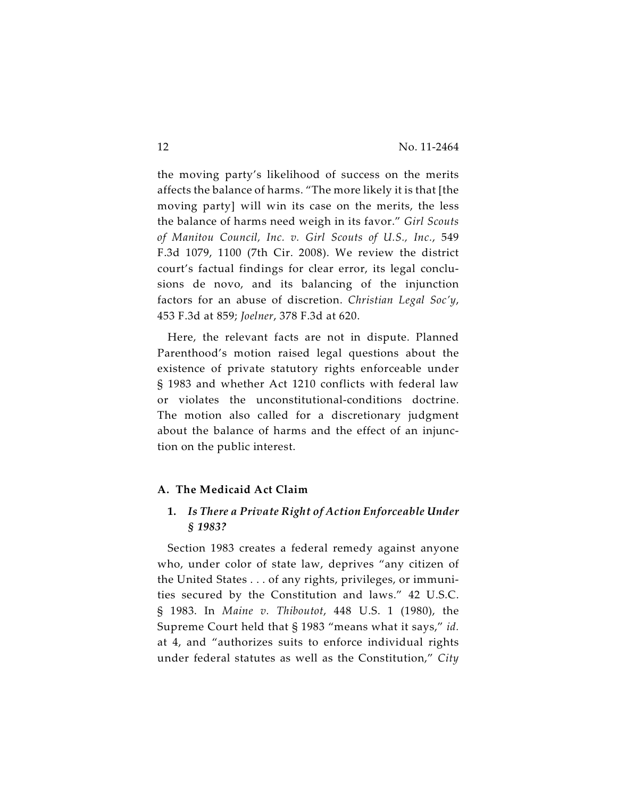the moving party's likelihood of success on the merits affects the balance of harms. "The more likely it is that [the moving party] will win its case on the merits, the less the balance of harms need weigh in its favor." *Girl Scouts of Manitou Council, Inc. v. Girl Scouts of U.S., Inc.*, 549 F.3d 1079, 1100 (7th Cir. 2008). We review the district court's factual findings for clear error, its legal conclusions de novo, and its balancing of the injunction factors for an abuse of discretion. *Christian Legal Soc'y*, 453 F.3d at 859; *Joelner*, 378 F.3d at 620.

Here, the relevant facts are not in dispute. Planned Parenthood's motion raised legal questions about the existence of private statutory rights enforceable under § 1983 and whether Act 1210 conflicts with federal law or violates the unconstitutional-conditions doctrine. The motion also called for a discretionary judgment about the balance of harms and the effect of an injunction on the public interest.

#### **A. The Medicaid Act Claim**

## **1.** *Is There a Private Right of Action Enforceable Under § 1983?*

Section 1983 creates a federal remedy against anyone who, under color of state law, deprives "any citizen of the United States . . . of any rights, privileges, or immunities secured by the Constitution and laws." 42 U.S.C. § 1983. In *Maine v. Thiboutot*, 448 U.S. 1 (1980), the Supreme Court held that § 1983 "means what it says," *id.* at 4, and "authorizes suits to enforce individual rights under federal statutes as well as the Constitution," *City*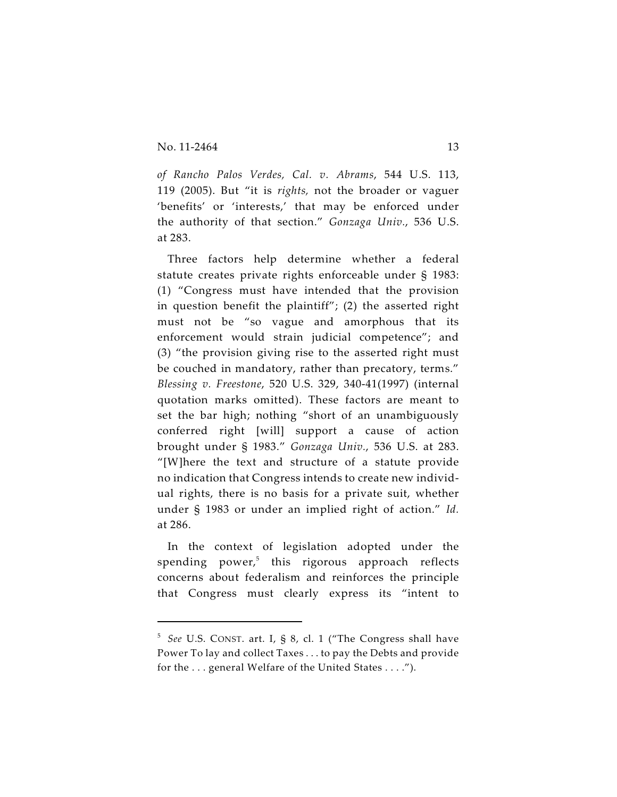*of Rancho Palos Verdes, Cal. v. Abrams*, 544 U.S. 113, 119 (2005). But "it is *rights,* not the broader or vaguer 'benefits' or 'interests,' that may be enforced under the authority of that section." *Gonzaga Univ.*, 536 U.S. at 283.

Three factors help determine whether a federal statute creates private rights enforceable under § 1983: (1) "Congress must have intended that the provision in question benefit the plaintiff"; (2) the asserted right must not be "so vague and amorphous that its enforcement would strain judicial competence"; and (3) "the provision giving rise to the asserted right must be couched in mandatory, rather than precatory, terms." *Blessing v. Freestone*, 520 U.S. 329, 340-41(1997) (internal quotation marks omitted). These factors are meant to set the bar high; nothing "short of an unambiguously conferred right [will] support a cause of action brought under § 1983." *Gonzaga Univ.*, 536 U.S. at 283. "[W]here the text and structure of a statute provide no indication that Congress intends to create new individual rights, there is no basis for a private suit, whether under § 1983 or under an implied right of action." *Id.* at 286.

In the context of legislation adopted under the spending power, $5$  this rigorous approach reflects concerns about federalism and reinforces the principle that Congress must clearly express its "intent to

<sup>&</sup>lt;sup>5</sup> See U.S. CONST. art. I, § 8, cl. 1 ("The Congress shall have Power To lay and collect Taxes . . . to pay the Debts and provide for the . . . general Welfare of the United States . . . .").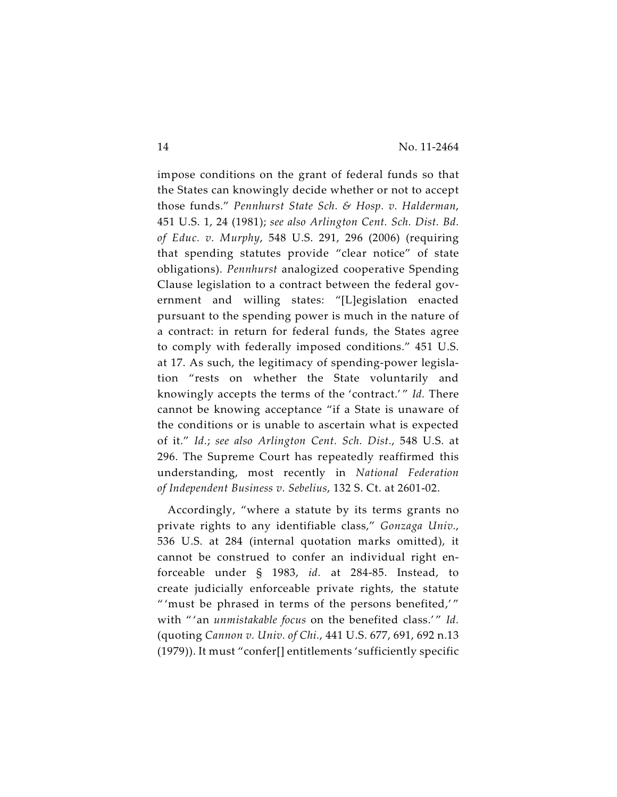impose conditions on the grant of federal funds so that the States can knowingly decide whether or not to accept those funds." *Pennhurst State Sch. & Hosp. v. Halderman*, 451 U.S. 1, 24 (1981); *see also Arlington Cent. Sch. Dist. Bd. of Educ. v. Murphy*, 548 U.S. 291, 296 (2006) (requiring that spending statutes provide "clear notice" of state obligations). *Pennhurst* analogized cooperative Spending Clause legislation to a contract between the federal government and willing states: "[L]egislation enacted pursuant to the spending power is much in the nature of a contract: in return for federal funds, the States agree to comply with federally imposed conditions." 451 U.S. at 17. As such, the legitimacy of spending-power legislation "rests on whether the State voluntarily and knowingly accepts the terms of the 'contract.' " *Id.* There cannot be knowing acceptance "if a State is unaware of the conditions or is unable to ascertain what is expected of it." *Id.*; *see also Arlington Cent. Sch. Dist.*, 548 U.S. at 296. The Supreme Court has repeatedly reaffirmed this understanding, most recently in *National Federation of Independent Business v. Sebelius*, 132 S. Ct. at 2601-02.

Accordingly, "where a statute by its terms grants no private rights to any identifiable class," *Gonzaga Univ.*, 536 U.S. at 284 (internal quotation marks omitted), it cannot be construed to confer an individual right enforceable under § 1983, *id.* at 284-85. Instead, to create judicially enforceable private rights, the statute " 'must be phrased in terms of the persons benefited,' " with "'an *unmistakable focus* on the benefited class.'" Id. (quoting *Cannon v. Univ. of Chi.*, 441 U.S. 677, 691, 692 n.13 (1979)). It must "confer[] entitlements 'sufficiently specific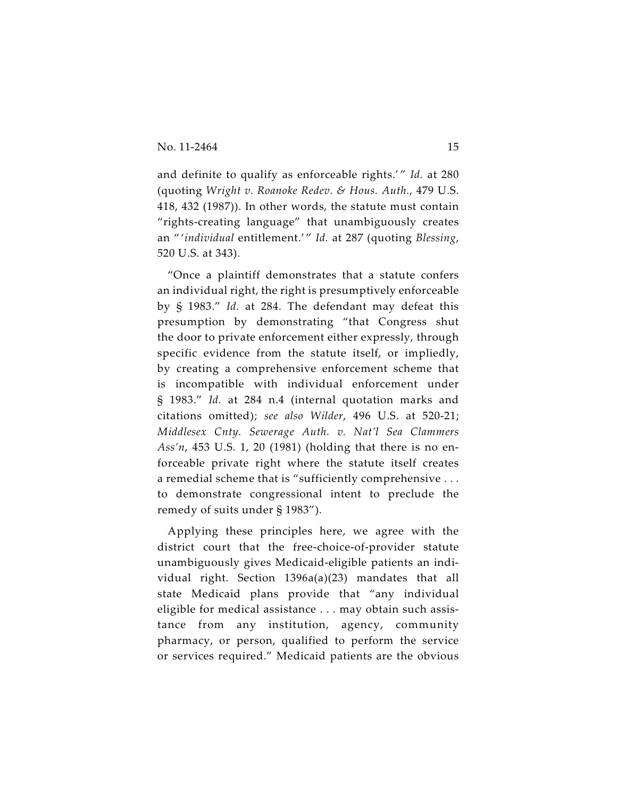and definite to qualify as enforceable rights.'" *Id.* at 280 (quoting *Wright v. Roanoke Redev. & Hous. Auth.*, 479 U.S. 418, 432 (1987)). In other words, the statute must contain "rights-creating language" that unambiguously creates an " '*individual* entitlement.' " *Id.* at 287 (quoting *Blessing*, 520 U.S. at 343).

"Once a plaintiff demonstrates that a statute confers an individual right, the right is presumptively enforceable by § 1983." *Id.* at 284. The defendant may defeat this presumption by demonstrating "that Congress shut the door to private enforcement either expressly, through specific evidence from the statute itself, or impliedly, by creating a comprehensive enforcement scheme that is incompatible with individual enforcement under § 1983." *Id.* at 284 n.4 (internal quotation marks and citations omitted); *see also Wilder*, 496 U.S. at 520-21; *Middlesex Cnty. Sewerage Auth. v. Nat'l Sea Clammers Ass'n*, 453 U.S. 1, 20 (1981) (holding that there is no enforceable private right where the statute itself creates a remedial scheme that is "sufficiently comprehensive . . . to demonstrate congressional intent to preclude the remedy of suits under § 1983").

Applying these principles here, we agree with the district court that the free-choice-of-provider statute unambiguously gives Medicaid-eligible patients an individual right. Section 1396a(a)(23) mandates that all state Medicaid plans provide that "any individual eligible for medical assistance . . . may obtain such assistance from any institution, agency, community pharmacy, or person, qualified to perform the service or services required." Medicaid patients are the obvious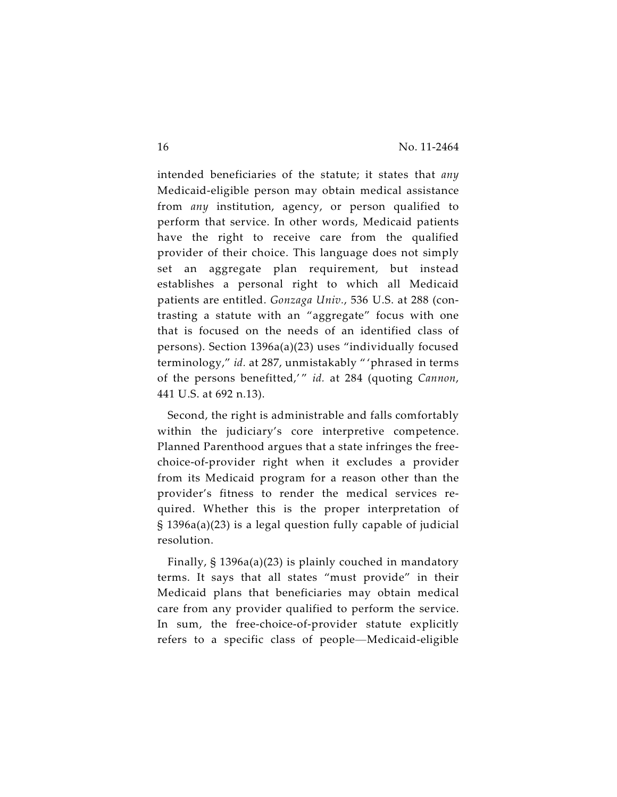intended beneficiaries of the statute; it states that *any* Medicaid-eligible person may obtain medical assistance from *any* institution, agency, or person qualified to perform that service. In other words, Medicaid patients have the right to receive care from the qualified provider of their choice. This language does not simply set an aggregate plan requirement, but instead establishes a personal right to which all Medicaid patients are entitled. *Gonzaga Univ.*, 536 U.S. at 288 (contrasting a statute with an "aggregate" focus with one that is focused on the needs of an identified class of persons). Section 1396a(a)(23) uses "individually focused terminology," *id.* at 287, unmistakably " 'phrased in terms of the persons benefitted,' " *id.* at 284 (quoting *Cannon*, 441 U.S. at 692 n.13).

Second, the right is administrable and falls comfortably within the judiciary's core interpretive competence. Planned Parenthood argues that a state infringes the freechoice-of-provider right when it excludes a provider from its Medicaid program for a reason other than the provider's fitness to render the medical services required. Whether this is the proper interpretation of § 1396a(a)(23) is a legal question fully capable of judicial resolution.

Finally, § 1396a(a)(23) is plainly couched in mandatory terms. It says that all states "must provide" in their Medicaid plans that beneficiaries may obtain medical care from any provider qualified to perform the service. In sum, the free-choice-of-provider statute explicitly refers to a specific class of people—Medicaid-eligible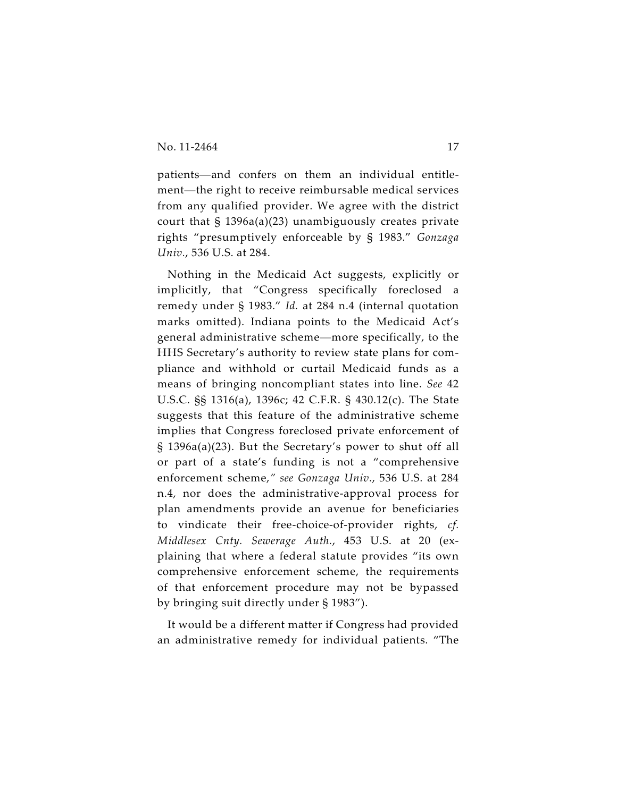patients—and confers on them an individual entitlement—the right to receive reimbursable medical services from any qualified provider. We agree with the district court that § 1396a(a)(23) unambiguously creates private rights "presumptively enforceable by § 1983." *Gonzaga Univ.*, 536 U.S. at 284.

Nothing in the Medicaid Act suggests, explicitly or implicitly, that "Congress specifically foreclosed a remedy under § 1983." *Id.* at 284 n.4 (internal quotation marks omitted). Indiana points to the Medicaid Act's general administrative scheme—more specifically, to the HHS Secretary's authority to review state plans for compliance and withhold or curtail Medicaid funds as a means of bringing noncompliant states into line. *See* 42 U.S.C. §§ 1316(a), 1396c; 42 C.F.R. § 430.12(c). The State suggests that this feature of the administrative scheme implies that Congress foreclosed private enforcement of § 1396a(a)(23). But the Secretary's power to shut off all or part of a state's funding is not a "comprehensive enforcement scheme,*" see Gonzaga Univ.*, 536 U.S. at 284 n.4, nor does the administrative-approval process for plan amendments provide an avenue for beneficiaries to vindicate their free-choice-of-provider rights, *cf. Middlesex Cnty. Sewerage Auth.*, 453 U.S. at 20 (explaining that where a federal statute provides "its own comprehensive enforcement scheme, the requirements of that enforcement procedure may not be bypassed by bringing suit directly under § 1983").

It would be a different matter if Congress had provided an administrative remedy for individual patients. "The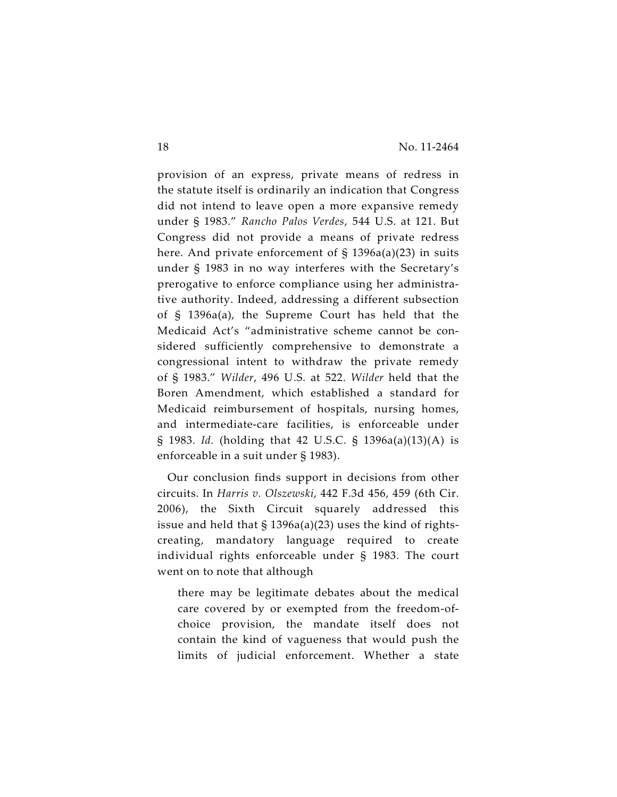provision of an express, private means of redress in the statute itself is ordinarily an indication that Congress did not intend to leave open a more expansive remedy under § 1983." *Rancho Palos Verdes*, 544 U.S. at 121. But Congress did not provide a means of private redress here. And private enforcement of  $\S$  1396a(a)(23) in suits under § 1983 in no way interferes with the Secretary's prerogative to enforce compliance using her administrative authority. Indeed, addressing a different subsection of § 1396a(a), the Supreme Court has held that the Medicaid Act's "administrative scheme cannot be considered sufficiently comprehensive to demonstrate a congressional intent to withdraw the private remedy of § 1983." *Wilder*, 496 U.S. at 522. *Wilder* held that the Boren Amendment, which established a standard for Medicaid reimbursement of hospitals, nursing homes, and intermediate-care facilities, is enforceable under § 1983. *Id.* (holding that 42 U.S.C. § 1396a(a)(13)(A) is enforceable in a suit under § 1983).

Our conclusion finds support in decisions from other circuits. In *Harris v. Olszewski*, 442 F.3d 456, 459 (6th Cir. 2006), the Sixth Circuit squarely addressed this issue and held that § 1396a(a)(23) uses the kind of rightscreating, mandatory language required to create individual rights enforceable under § 1983. The court went on to note that although

there may be legitimate debates about the medical care covered by or exempted from the freedom-ofchoice provision, the mandate itself does not contain the kind of vagueness that would push the limits of judicial enforcement. Whether a state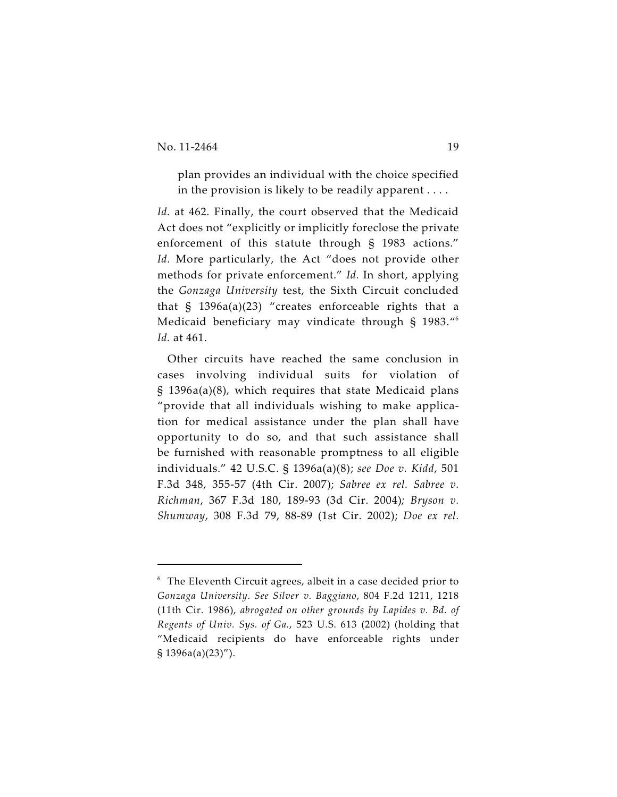plan provides an individual with the choice specified in the provision is likely to be readily apparent . . . .

*Id.* at 462. Finally, the court observed that the Medicaid Act does not "explicitly or implicitly foreclose the private enforcement of this statute through § 1983 actions." *Id.* More particularly, the Act "does not provide other methods for private enforcement." *Id.* In short, applying the *Gonzaga University* test, the Sixth Circuit concluded that § 1396a(a)(23) "creates enforceable rights that a Medicaid beneficiary may vindicate through § 1983."<sup>6</sup> *Id.* at 461.

Other circuits have reached the same conclusion in cases involving individual suits for violation of § 1396a(a)(8), which requires that state Medicaid plans "provide that all individuals wishing to make application for medical assistance under the plan shall have opportunity to do so, and that such assistance shall be furnished with reasonable promptness to all eligible individuals." 42 U.S.C. § 1396a(a)(8); *see Doe v. Kidd*, 501 F.3d 348, 355-57 (4th Cir. 2007); *Sabree ex rel. Sabree v. Richman*, 367 F.3d 180, 189-93 (3d Cir. 2004)*; Bryson v. Shumway*, 308 F.3d 79, 88-89 (1st Cir. 2002); *Doe ex rel.*

 $6$  The Eleventh Circuit agrees, albeit in a case decided prior to *Gonzaga University*. *See Silver v. Baggiano*, 804 F.2d 1211, 1218 (11th Cir. 1986), *abrogated on other grounds by Lapides v. Bd. of Regents of Univ. Sys. of Ga.*, 523 U.S. 613 (2002) (holding that "Medicaid recipients do have enforceable rights under § 1396a(a)(23)").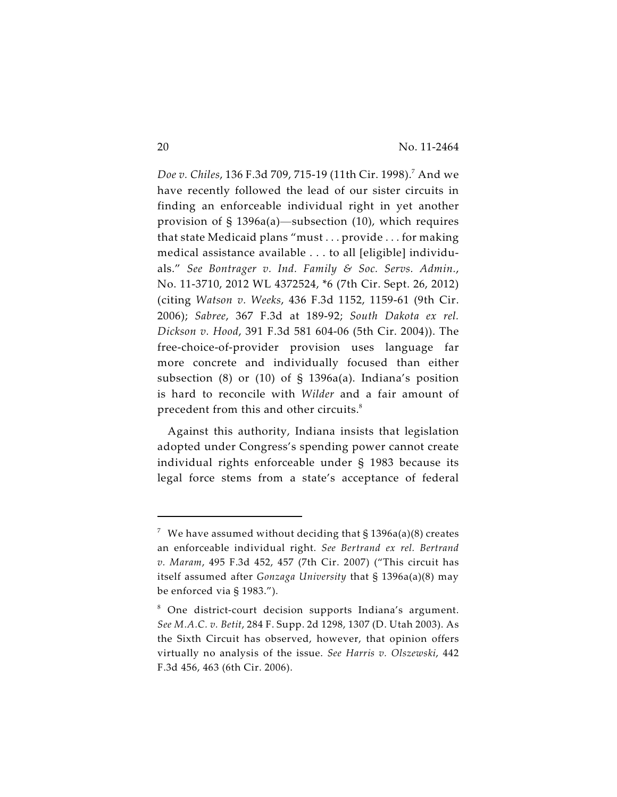*Doe v. Chiles, 136 F.3d 709, 715-19 (11th Cir. 1998).<sup>7</sup> And we* have recently followed the lead of our sister circuits in finding an enforceable individual right in yet another provision of § 1396a(a)—subsection (10), which requires that state Medicaid plans "must . . . provide . . . for making medical assistance available . . . to all [eligible] individuals." *See Bontrager v. Ind. Family & Soc. Servs. Admin.*, No. 11-3710, 2012 WL 4372524, \*6 (7th Cir. Sept. 26, 2012) (citing *Watson v. Weeks*, 436 F.3d 1152, 1159-61 (9th Cir. 2006); *Sabree*, 367 F.3d at 189-92; *South Dakota ex rel. Dickson v. Hood*, 391 F.3d 581 604-06 (5th Cir. 2004)). The free-choice-of-provider provision uses language far more concrete and individually focused than either subsection (8) or (10) of § 1396a(a). Indiana's position is hard to reconcile with *Wilder* and a fair amount of precedent from this and other circuits.<sup>8</sup>

Against this authority, Indiana insists that legislation adopted under Congress's spending power cannot create individual rights enforceable under § 1983 because its legal force stems from a state's acceptance of federal

 $^7~$  We have assumed without deciding that § 1396a(a)(8) creates an enforceable individual right. *See Bertrand ex rel. Bertrand v. Maram*, 495 F.3d 452, 457 (7th Cir. 2007) ("This circuit has itself assumed after *Gonzaga University* that § 1396a(a)(8) may be enforced via § 1983.").

 $8$  One district-court decision supports Indiana's argument. *See M.A.C. v. Betit*, 284 F. Supp. 2d 1298, 1307 (D. Utah 2003). As the Sixth Circuit has observed, however, that opinion offers virtually no analysis of the issue. *See Harris v. Olszewski*, 442 F.3d 456, 463 (6th Cir. 2006).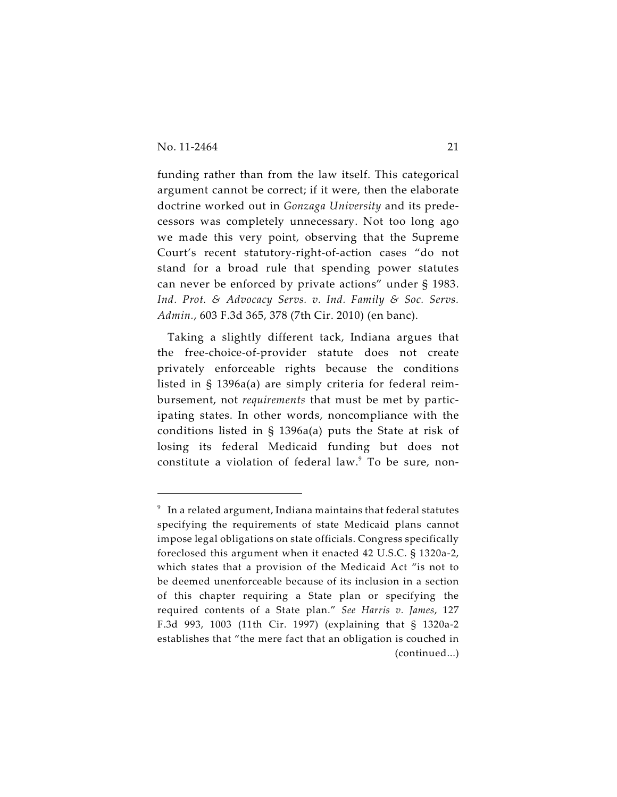funding rather than from the law itself. This categorical argument cannot be correct; if it were, then the elaborate doctrine worked out in *Gonzaga University* and its predecessors was completely unnecessary. Not too long ago we made this very point, observing that the Supreme Court's recent statutory-right-of-action cases "do not stand for a broad rule that spending power statutes can never be enforced by private actions" under § 1983. *Ind. Prot. & Advocacy Servs. v. Ind. Family & Soc. Servs. Admin.*, 603 F.3d 365, 378 (7th Cir. 2010) (en banc).

Taking a slightly different tack, Indiana argues that the free-choice-of-provider statute does not create privately enforceable rights because the conditions listed in § 1396a(a) are simply criteria for federal reimbursement, not *requirements* that must be met by participating states. In other words, noncompliance with the conditions listed in § 1396a(a) puts the State at risk of losing its federal Medicaid funding but does not constitute a violation of federal law.<sup>9</sup> To be sure, non-

 $^9\;$  In a related argument, Indiana maintains that federal statutes specifying the requirements of state Medicaid plans cannot impose legal obligations on state officials. Congress specifically foreclosed this argument when it enacted 42 U.S.C. § 1320a-2, which states that a provision of the Medicaid Act "is not to be deemed unenforceable because of its inclusion in a section of this chapter requiring a State plan or specifying the required contents of a State plan." *See Harris v. James*, 127 F.3d 993, 1003 (11th Cir. 1997) (explaining that § 1320a-2 establishes that "the mere fact that an obligation is couched in (continued...)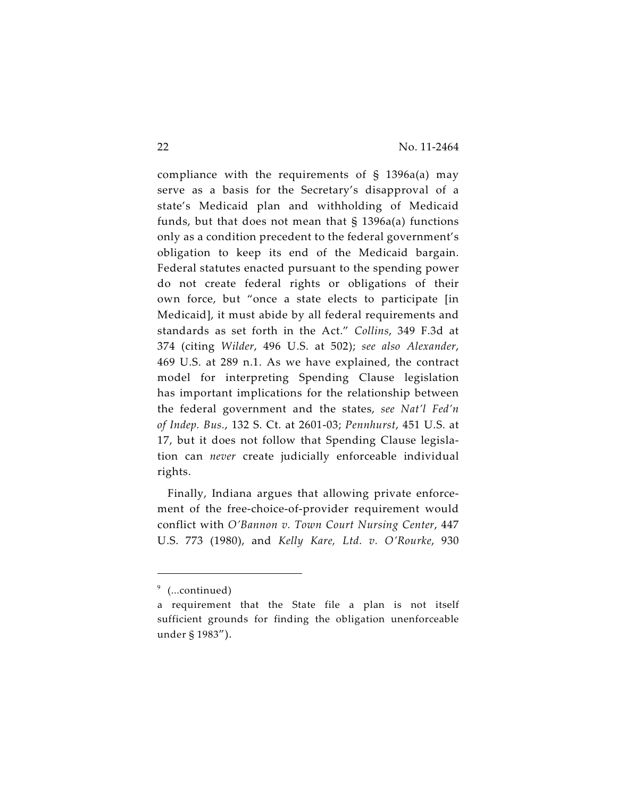compliance with the requirements of  $\S$  1396a(a) may serve as a basis for the Secretary's disapproval of a state's Medicaid plan and withholding of Medicaid funds, but that does not mean that  $\S$  1396a(a) functions only as a condition precedent to the federal government's obligation to keep its end of the Medicaid bargain. Federal statutes enacted pursuant to the spending power do not create federal rights or obligations of their own force, but "once a state elects to participate [in Medicaid], it must abide by all federal requirements and standards as set forth in the Act." *Collins*, 349 F.3d at 374 (citing *Wilder*, 496 U.S. at 502); *see also Alexander*, 469 U.S. at 289 n.1. As we have explained, the contract model for interpreting Spending Clause legislation has important implications for the relationship between the federal government and the states, *see Nat'l Fed'n of Indep. Bus.*, 132 S. Ct. at 2601-03; *Pennhurst*, 451 U.S. at 17, but it does not follow that Spending Clause legislation can *never* create judicially enforceable individual rights.

Finally, Indiana argues that allowing private enforcement of the free-choice-of-provider requirement would conflict with *O'Bannon v. Town Court Nursing Center*, 447 U.S. 773 (1980), and *Kelly Kare, Ltd. v. O'Rourke*, 930

 $9$  (...continued)

a requirement that the State file a plan is not itself sufficient grounds for finding the obligation unenforceable under § 1983").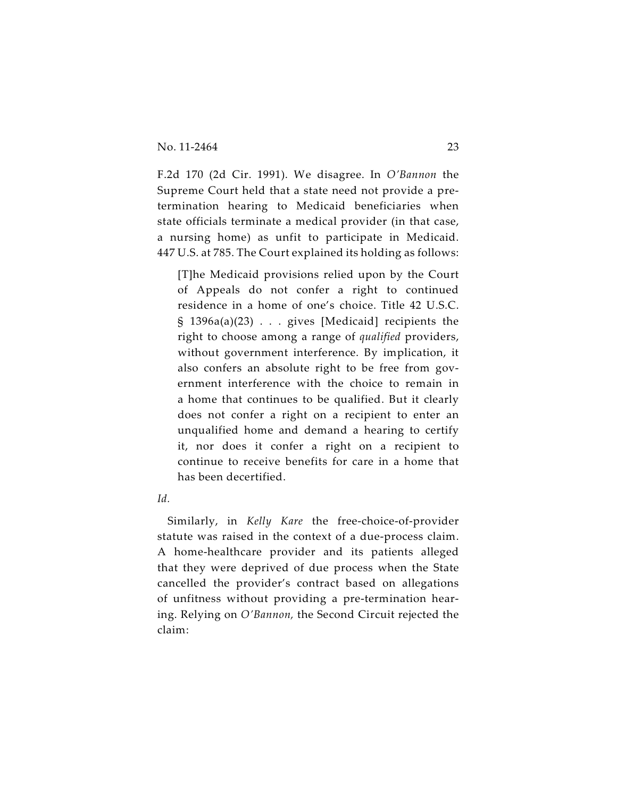F.2d 170 (2d Cir. 1991). We disagree. In *O'Bannon* the Supreme Court held that a state need not provide a pretermination hearing to Medicaid beneficiaries when state officials terminate a medical provider (in that case, a nursing home) as unfit to participate in Medicaid. 447 U.S. at 785. The Court explained its holding as follows:

[T]he Medicaid provisions relied upon by the Court of Appeals do not confer a right to continued residence in a home of one's choice. Title 42 U.S.C. § 1396a(a)(23) . . . gives [Medicaid] recipients the right to choose among a range of *qualified* providers, without government interference. By implication, it also confers an absolute right to be free from government interference with the choice to remain in a home that continues to be qualified. But it clearly does not confer a right on a recipient to enter an unqualified home and demand a hearing to certify it, nor does it confer a right on a recipient to continue to receive benefits for care in a home that has been decertified.

*Id.*

Similarly, in *Kelly Kare* the free-choice-of-provider statute was raised in the context of a due-process claim. A home-healthcare provider and its patients alleged that they were deprived of due process when the State cancelled the provider's contract based on allegations of unfitness without providing a pre-termination hearing. Relying on *O'Bannon,* the Second Circuit rejected the claim: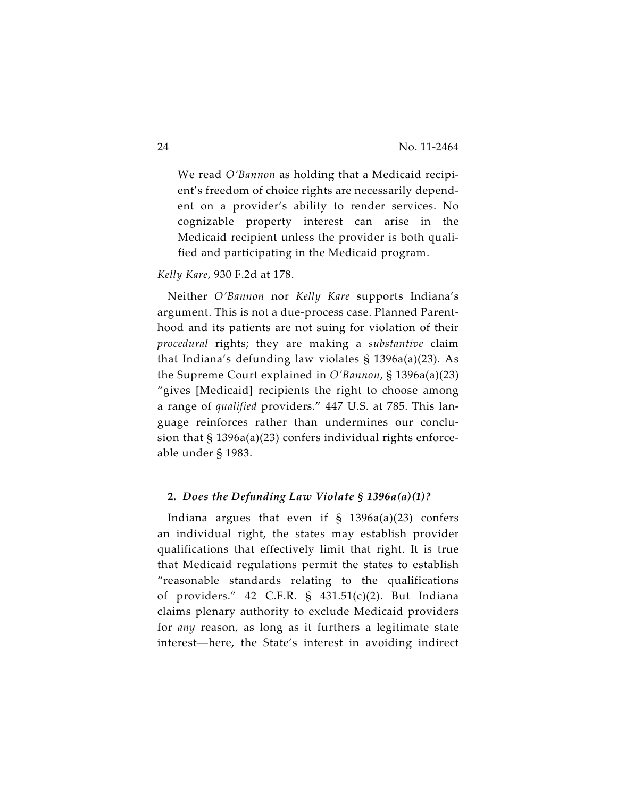We read *O'Bannon* as holding that a Medicaid recipient's freedom of choice rights are necessarily dependent on a provider's ability to render services. No cognizable property interest can arise in the Medicaid recipient unless the provider is both qualified and participating in the Medicaid program.

#### *Kelly Kare*, 930 F.2d at 178.

Neither *O'Bannon* nor *Kelly Kare* supports Indiana's argument. This is not a due-process case. Planned Parenthood and its patients are not suing for violation of their *procedural* rights; they are making a *substantive* claim that Indiana's defunding law violates § 1396a(a)(23). As the Supreme Court explained in *O'Bannon*, § 1396a(a)(23) "gives [Medicaid] recipients the right to choose among a range of *qualified* providers." 447 U.S. at 785. This language reinforces rather than undermines our conclusion that § 1396a(a)(23) confers individual rights enforceable under § 1983.

#### **2.** *Does the Defunding Law Violate § 1396a(a)(1)?*

Indiana argues that even if  $\S$  1396a(a)(23) confers an individual right, the states may establish provider qualifications that effectively limit that right. It is true that Medicaid regulations permit the states to establish "reasonable standards relating to the qualifications of providers." 42 C.F.R. § 431.51(c)(2). But Indiana claims plenary authority to exclude Medicaid providers for *any* reason, as long as it furthers a legitimate state interest—here, the State's interest in avoiding indirect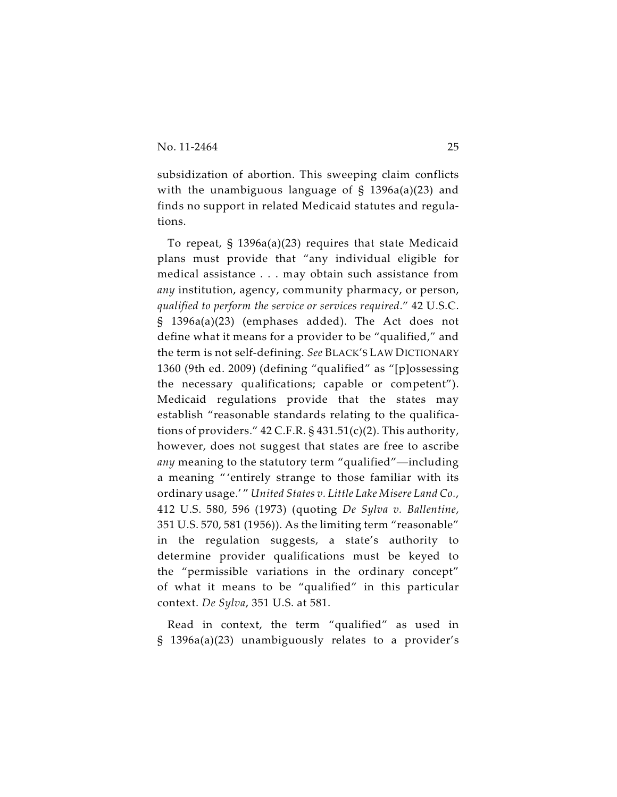subsidization of abortion. This sweeping claim conflicts with the unambiguous language of § 1396a(a)(23) and finds no support in related Medicaid statutes and regulations.

To repeat, § 1396a(a)(23) requires that state Medicaid plans must provide that "any individual eligible for medical assistance . . . may obtain such assistance from *any* institution, agency, community pharmacy, or person, *qualified to perform the service or services required*." 42 U.S.C. § 1396a(a)(23) (emphases added). The Act does not define what it means for a provider to be "qualified," and the term is not self-defining. *See* BLACK'S LAW DICTIONARY 1360 (9th ed. 2009) (defining "qualified" as "[p]ossessing the necessary qualifications; capable or competent"). Medicaid regulations provide that the states may establish "reasonable standards relating to the qualifications of providers." 42 C.F.R. § 431.51(c)(2). This authority, however, does not suggest that states are free to ascribe *any* meaning to the statutory term "qualified"—including a meaning " 'entirely strange to those familiar with its ordinary usage.' " *United States v. Little Lake Misere Land Co.*, 412 U.S. 580, 596 (1973) (quoting *De Sylva v. Ballentine*, 351 U.S. 570, 581 (1956)). As the limiting term "reasonable" in the regulation suggests, a state's authority to determine provider qualifications must be keyed to the "permissible variations in the ordinary concept" of what it means to be "qualified" in this particular context. *De Sylva*, 351 U.S. at 581.

Read in context, the term "qualified" as used in § 1396a(a)(23) unambiguously relates to a provider's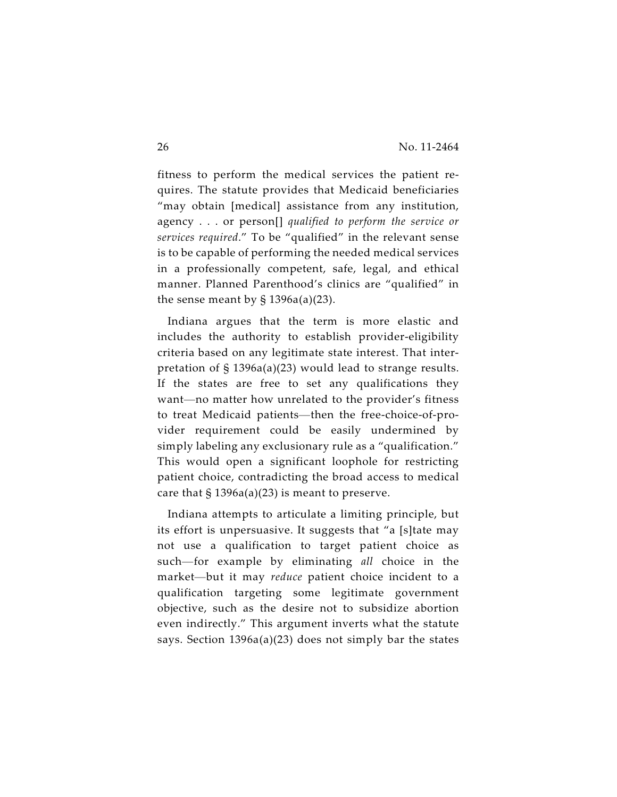fitness to perform the medical services the patient requires. The statute provides that Medicaid beneficiaries "may obtain [medical] assistance from any institution, agency . . . or person[] *qualified to perform the service or services required*." To be "qualified" in the relevant sense is to be capable of performing the needed medical services in a professionally competent, safe, legal, and ethical manner. Planned Parenthood's clinics are "qualified" in the sense meant by  $\S$  1396a(a)(23).

Indiana argues that the term is more elastic and includes the authority to establish provider-eligibility criteria based on any legitimate state interest. That interpretation of § 1396a(a)(23) would lead to strange results. If the states are free to set any qualifications they want—no matter how unrelated to the provider's fitness to treat Medicaid patients—then the free-choice-of-provider requirement could be easily undermined by simply labeling any exclusionary rule as a "qualification." This would open a significant loophole for restricting patient choice, contradicting the broad access to medical care that  $\S 1396a(a)(23)$  is meant to preserve.

Indiana attempts to articulate a limiting principle, but its effort is unpersuasive. It suggests that "a [s]tate may not use a qualification to target patient choice as such—for example by eliminating *all* choice in the market—but it may *reduce* patient choice incident to a qualification targeting some legitimate government objective, such as the desire not to subsidize abortion even indirectly." This argument inverts what the statute says. Section 1396a(a)(23) does not simply bar the states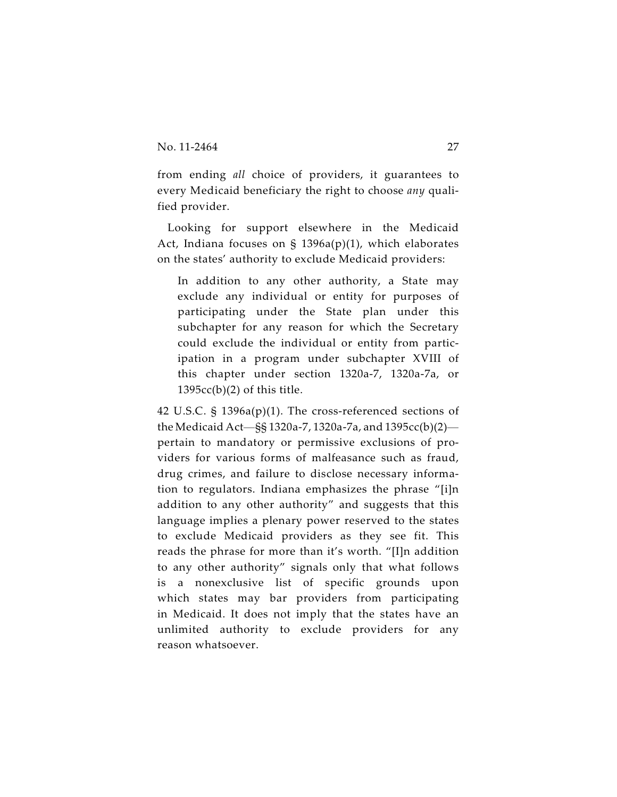from ending *all* choice of providers, it guarantees to every Medicaid beneficiary the right to choose *any* qualified provider.

Looking for support elsewhere in the Medicaid Act, Indiana focuses on § 1396a(p)(1), which elaborates on the states' authority to exclude Medicaid providers:

In addition to any other authority, a State may exclude any individual or entity for purposes of participating under the State plan under this subchapter for any reason for which the Secretary could exclude the individual or entity from participation in a program under subchapter XVIII of this chapter under section 1320a-7, 1320a-7a, or  $1395cc(b)(2)$  of this title.

42 U.S.C. § 1396a(p)(1). The cross-referenced sections of the Medicaid Act—§§ 1320a-7, 1320a-7a, and 1395cc(b)(2) pertain to mandatory or permissive exclusions of providers for various forms of malfeasance such as fraud, drug crimes, and failure to disclose necessary information to regulators. Indiana emphasizes the phrase "[i]n addition to any other authority" and suggests that this language implies a plenary power reserved to the states to exclude Medicaid providers as they see fit. This reads the phrase for more than it's worth. "[I]n addition to any other authority" signals only that what follows is a nonexclusive list of specific grounds upon which states may bar providers from participating in Medicaid. It does not imply that the states have an unlimited authority to exclude providers for any reason whatsoever.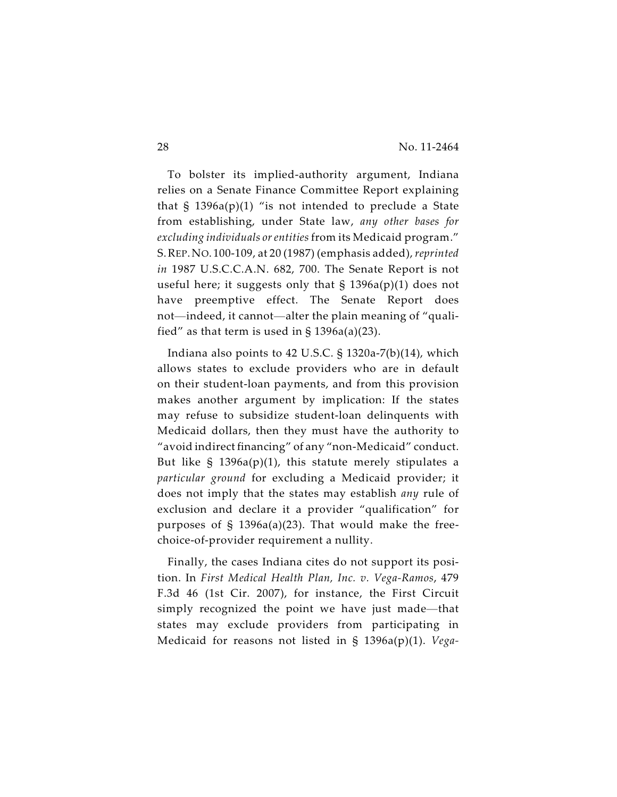To bolster its implied-authority argument, Indiana relies on a Senate Finance Committee Report explaining that  $\S$  1396a(p)(1) "is not intended to preclude a State from establishing, under State law, *any other bases for excluding individuals or entities* from its Medicaid program." S.REP. NO. 100-109, at 20 (1987) (emphasis added), *reprinted in* 1987 U.S.C.C.A.N. 682, 700. The Senate Report is not useful here; it suggests only that  $\S$  1396a(p)(1) does not have preemptive effect. The Senate Report does not—indeed, it cannot—alter the plain meaning of "qualified" as that term is used in  $\S$  1396a(a)(23).

Indiana also points to 42 U.S.C. § 1320a-7(b)(14), which allows states to exclude providers who are in default on their student-loan payments, and from this provision makes another argument by implication: If the states may refuse to subsidize student-loan delinquents with Medicaid dollars, then they must have the authority to "avoid indirect financing" of any "non-Medicaid" conduct. But like  $\S$  1396a(p)(1), this statute merely stipulates a *particular ground* for excluding a Medicaid provider; it does not imply that the states may establish *any* rule of exclusion and declare it a provider "qualification" for purposes of  $\S$  1396a(a)(23). That would make the freechoice-of-provider requirement a nullity.

Finally, the cases Indiana cites do not support its position. In *First Medical Health Plan, Inc. v. Vega-Ramos*, 479 F.3d 46 (1st Cir. 2007), for instance, the First Circuit simply recognized the point we have just made—that states may exclude providers from participating in Medicaid for reasons not listed in § 1396a(p)(1). *Vega-*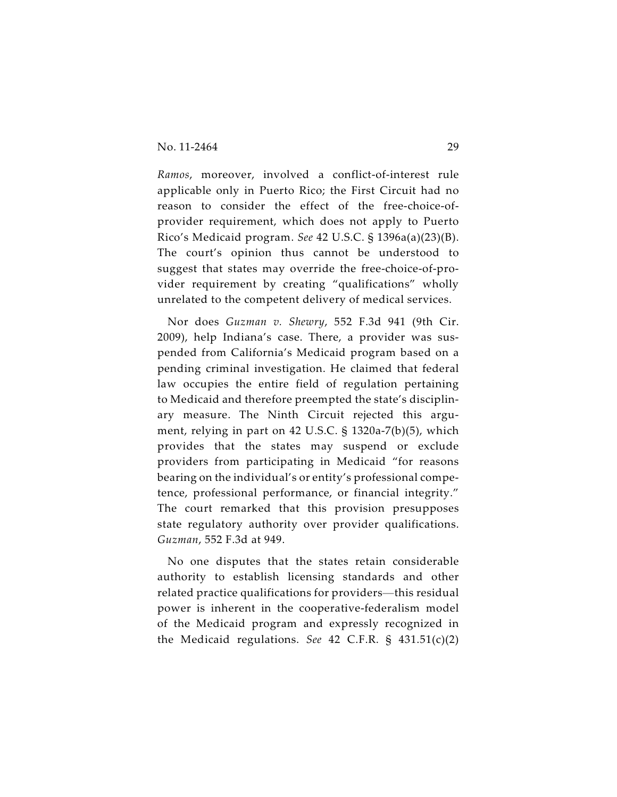*Ramos*, moreover, involved a conflict-of-interest rule applicable only in Puerto Rico; the First Circuit had no reason to consider the effect of the free-choice-ofprovider requirement, which does not apply to Puerto Rico's Medicaid program. *See* 42 U.S.C. § 1396a(a)(23)(B). The court's opinion thus cannot be understood to suggest that states may override the free-choice-of-provider requirement by creating "qualifications" wholly unrelated to the competent delivery of medical services.

Nor does *Guzman v. Shewry*, 552 F.3d 941 (9th Cir. 2009), help Indiana's case. There, a provider was suspended from California's Medicaid program based on a pending criminal investigation. He claimed that federal law occupies the entire field of regulation pertaining to Medicaid and therefore preempted the state's disciplinary measure. The Ninth Circuit rejected this argument, relying in part on 42 U.S.C. § 1320a-7(b)(5), which provides that the states may suspend or exclude providers from participating in Medicaid "for reasons bearing on the individual's or entity's professional competence, professional performance, or financial integrity." The court remarked that this provision presupposes state regulatory authority over provider qualifications. *Guzman*, 552 F.3d at 949.

No one disputes that the states retain considerable authority to establish licensing standards and other related practice qualifications for providers—this residual power is inherent in the cooperative-federalism model of the Medicaid program and expressly recognized in the Medicaid regulations. *See* 42 C.F.R. § 431.51(c)(2)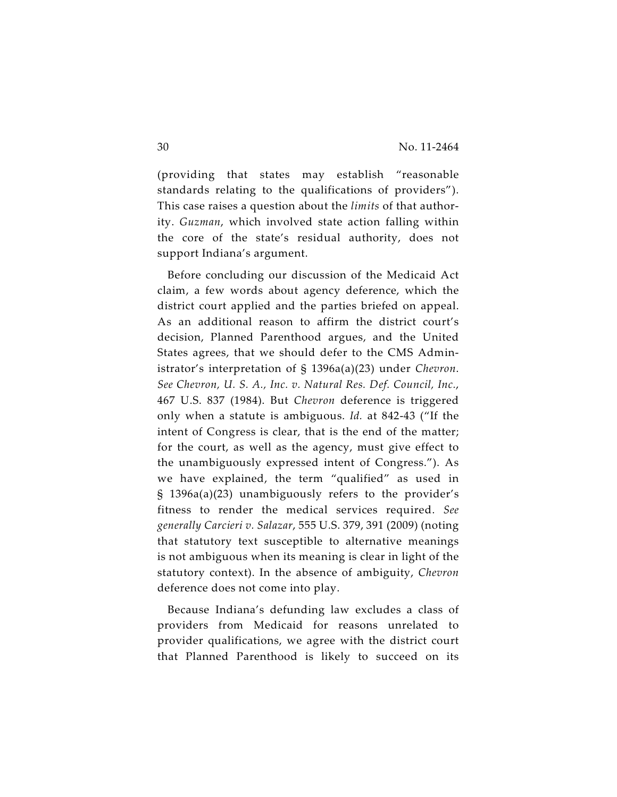(providing that states may establish "reasonable standards relating to the qualifications of providers"). This case raises a question about the *limits* of that authority. *Guzman*, which involved state action falling within the core of the state's residual authority, does not support Indiana's argument.

Before concluding our discussion of the Medicaid Act claim, a few words about agency deference, which the district court applied and the parties briefed on appeal. As an additional reason to affirm the district court's decision, Planned Parenthood argues, and the United States agrees, that we should defer to the CMS Administrator's interpretation of § 1396a(a)(23) under *Chevron*. *See Chevron, U. S. A., Inc. v. Natural Res. Def. Council, Inc.*, 467 U.S. 837 (1984). But *Chevron* deference is triggered only when a statute is ambiguous. *Id.* at 842-43 ("If the intent of Congress is clear, that is the end of the matter; for the court, as well as the agency, must give effect to the unambiguously expressed intent of Congress."). As we have explained, the term "qualified" as used in § 1396a(a)(23) unambiguously refers to the provider's fitness to render the medical services required. *See generally Carcieri v. Salazar*, 555 U.S. 379, 391 (2009) (noting that statutory text susceptible to alternative meanings is not ambiguous when its meaning is clear in light of the statutory context). In the absence of ambiguity, *Chevron* deference does not come into play.

Because Indiana's defunding law excludes a class of providers from Medicaid for reasons unrelated to provider qualifications, we agree with the district court that Planned Parenthood is likely to succeed on its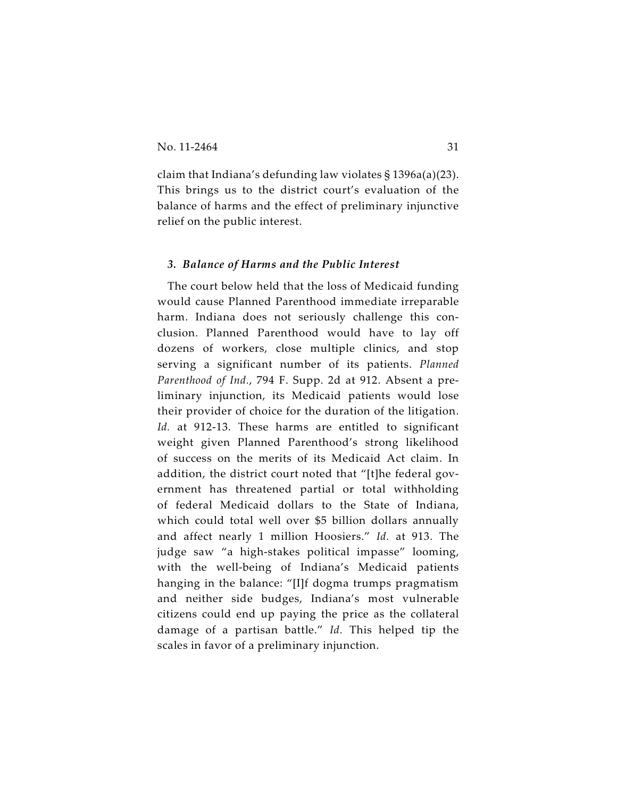claim that Indiana's defunding law violates § 1396a(a)(23). This brings us to the district court's evaluation of the balance of harms and the effect of preliminary injunctive relief on the public interest.

#### *3. Balance of Harms and the Public Interest*

The court below held that the loss of Medicaid funding would cause Planned Parenthood immediate irreparable harm. Indiana does not seriously challenge this conclusion. Planned Parenthood would have to lay off dozens of workers, close multiple clinics, and stop serving a significant number of its patients. *Planned Parenthood of Ind.*, 794 F. Supp. 2d at 912. Absent a preliminary injunction, its Medicaid patients would lose their provider of choice for the duration of the litigation. Id. at 912-13. These harms are entitled to significant weight given Planned Parenthood's strong likelihood of success on the merits of its Medicaid Act claim. In addition, the district court noted that "[t]he federal government has threatened partial or total withholding of federal Medicaid dollars to the State of Indiana, which could total well over \$5 billion dollars annually and affect nearly 1 million Hoosiers." *Id.* at 913. The judge saw "a high-stakes political impasse" looming, with the well-being of Indiana's Medicaid patients hanging in the balance: "[I]f dogma trumps pragmatism and neither side budges, Indiana's most vulnerable citizens could end up paying the price as the collateral damage of a partisan battle." *Id.* This helped tip the scales in favor of a preliminary injunction.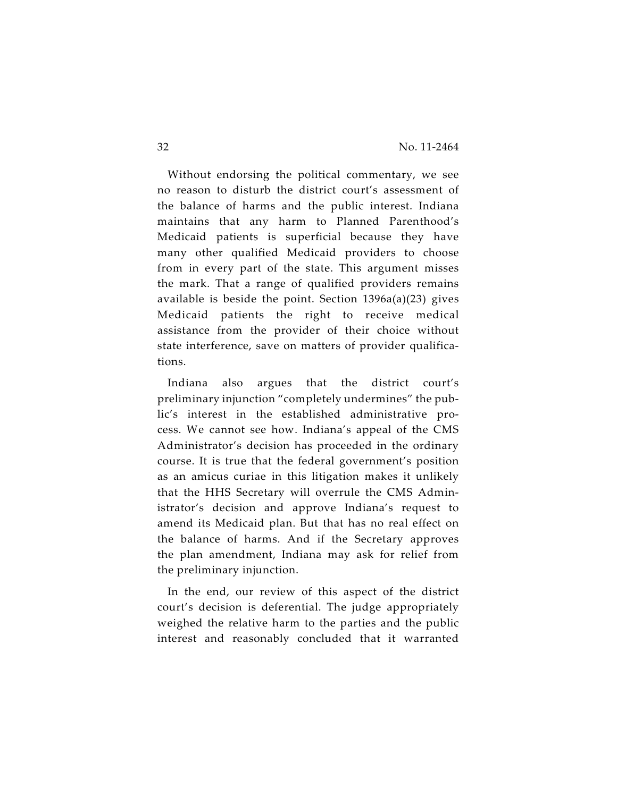Without endorsing the political commentary, we see no reason to disturb the district court's assessment of the balance of harms and the public interest. Indiana maintains that any harm to Planned Parenthood's Medicaid patients is superficial because they have many other qualified Medicaid providers to choose from in every part of the state. This argument misses the mark. That a range of qualified providers remains available is beside the point. Section 1396a(a)(23) gives Medicaid patients the right to receive medical assistance from the provider of their choice without state interference, save on matters of provider qualifications.

Indiana also argues that the district court's preliminary injunction "completely undermines" the public's interest in the established administrative process. We cannot see how. Indiana's appeal of the CMS Administrator's decision has proceeded in the ordinary course. It is true that the federal government's position as an amicus curiae in this litigation makes it unlikely that the HHS Secretary will overrule the CMS Administrator's decision and approve Indiana's request to amend its Medicaid plan. But that has no real effect on the balance of harms. And if the Secretary approves the plan amendment, Indiana may ask for relief from the preliminary injunction.

In the end, our review of this aspect of the district court's decision is deferential. The judge appropriately weighed the relative harm to the parties and the public interest and reasonably concluded that it warranted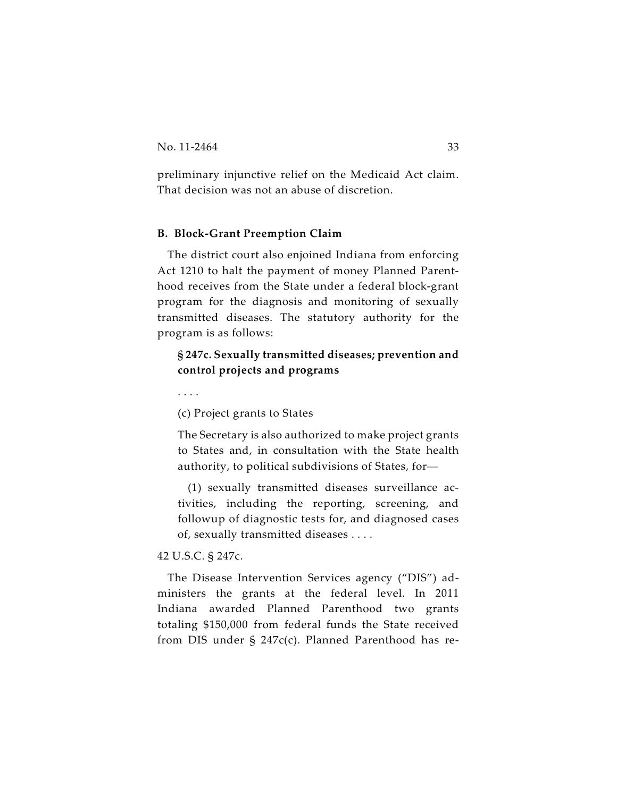preliminary injunctive relief on the Medicaid Act claim. That decision was not an abuse of discretion.

#### **B. Block-Grant Preemption Claim**

The district court also enjoined Indiana from enforcing Act 1210 to halt the payment of money Planned Parenthood receives from the State under a federal block-grant program for the diagnosis and monitoring of sexually transmitted diseases. The statutory authority for the program is as follows:

## **§ 247c. Sexually transmitted diseases; prevention and control projects and programs**

. . . .

(c) Project grants to States

The Secretary is also authorized to make project grants to States and, in consultation with the State health authority, to political subdivisions of States, for—

(1) sexually transmitted diseases surveillance activities, including the reporting, screening, and followup of diagnostic tests for, and diagnosed cases of, sexually transmitted diseases . . . .

#### 42 U.S.C. § 247c.

The Disease Intervention Services agency ("DIS") administers the grants at the federal level. In 2011 Indiana awarded Planned Parenthood two grants totaling \$150,000 from federal funds the State received from DIS under § 247c(c). Planned Parenthood has re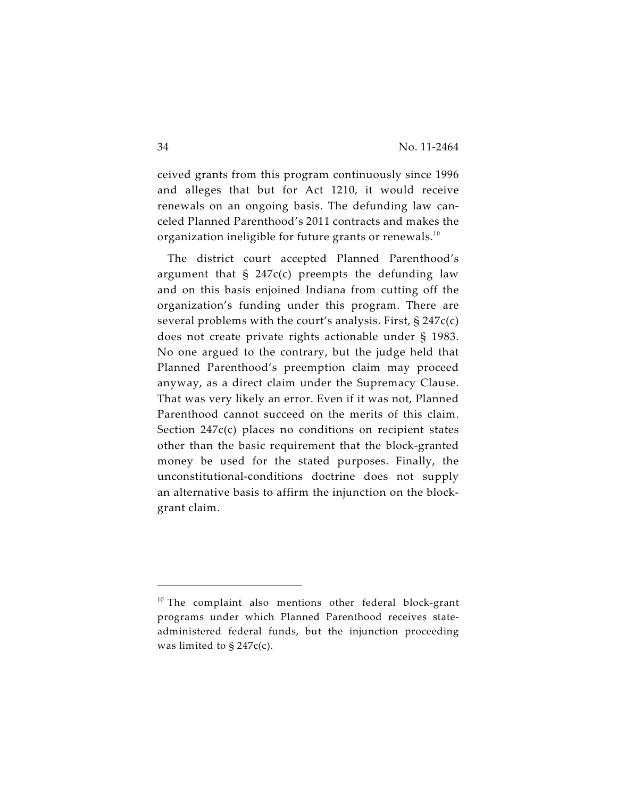ceived grants from this program continuously since 1996 and alleges that but for Act 1210, it would receive renewals on an ongoing basis. The defunding law canceled Planned Parenthood's 2011 contracts and makes the organization ineligible for future grants or renewals. $^{\rm 10}$ 

The district court accepted Planned Parenthood's argument that  $\frac{1}{2}$  247c(c) preempts the defunding law and on this basis enjoined Indiana from cutting off the organization's funding under this program. There are several problems with the court's analysis. First,  $\S 247c(c)$ does not create private rights actionable under § 1983. No one argued to the contrary, but the judge held that Planned Parenthood's preemption claim may proceed anyway, as a direct claim under the Supremacy Clause. That was very likely an error. Even if it was not, Planned Parenthood cannot succeed on the merits of this claim. Section 247c(c) places no conditions on recipient states other than the basic requirement that the block-granted money be used for the stated purposes. Finally, the unconstitutional-conditions doctrine does not supply an alternative basis to affirm the injunction on the blockgrant claim.

 $10$  The complaint also mentions other federal block-grant programs under which Planned Parenthood receives stateadministered federal funds, but the injunction proceeding was limited to  $\S 247c(c)$ .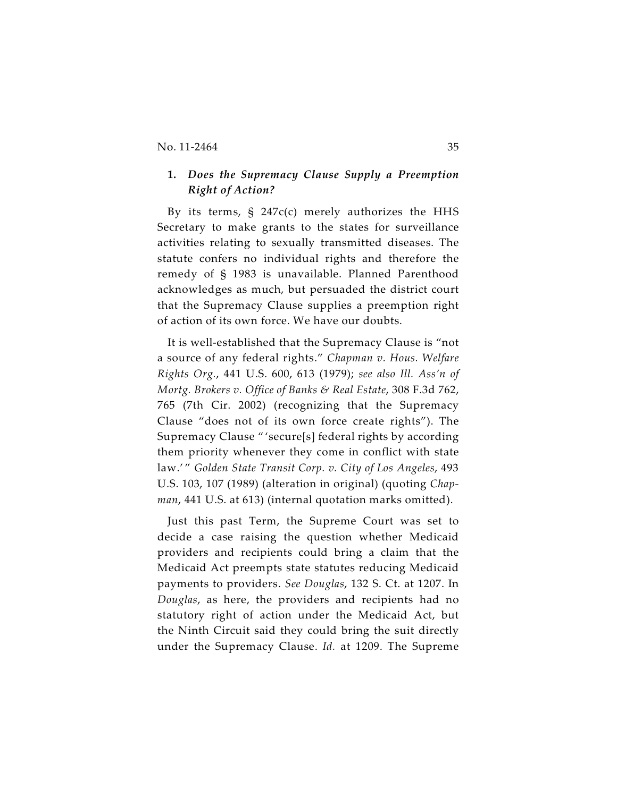## **1.** *Does the Supremacy Clause Supply a Preemption Right of Action?*

By its terms,  $\frac{1}{2}$  247c(c) merely authorizes the HHS Secretary to make grants to the states for surveillance activities relating to sexually transmitted diseases. The statute confers no individual rights and therefore the remedy of § 1983 is unavailable. Planned Parenthood acknowledges as much, but persuaded the district court that the Supremacy Clause supplies a preemption right of action of its own force. We have our doubts.

It is well-established that the Supremacy Clause is "not a source of any federal rights." *Chapman v. Hous. Welfare Rights Org.*, 441 U.S. 600, 613 (1979); *see also Ill. Ass'n of Mortg. Brokers v. Office of Banks & Real Estate*, 308 F.3d 762, 765 (7th Cir. 2002) (recognizing that the Supremacy Clause "does not of its own force create rights"). The Supremacy Clause " 'secure[s] federal rights by according them priority whenever they come in conflict with state law.' " *Golden State Transit Corp. v. City of Los Angeles*, 493 U.S. 103, 107 (1989) (alteration in original) (quoting *Chapman*, 441 U.S. at 613) (internal quotation marks omitted).

Just this past Term, the Supreme Court was set to decide a case raising the question whether Medicaid providers and recipients could bring a claim that the Medicaid Act preempts state statutes reducing Medicaid payments to providers. *See Douglas*, 132 S. Ct. at 1207. In *Douglas*, as here, the providers and recipients had no statutory right of action under the Medicaid Act, but the Ninth Circuit said they could bring the suit directly under the Supremacy Clause. *Id.* at 1209. The Supreme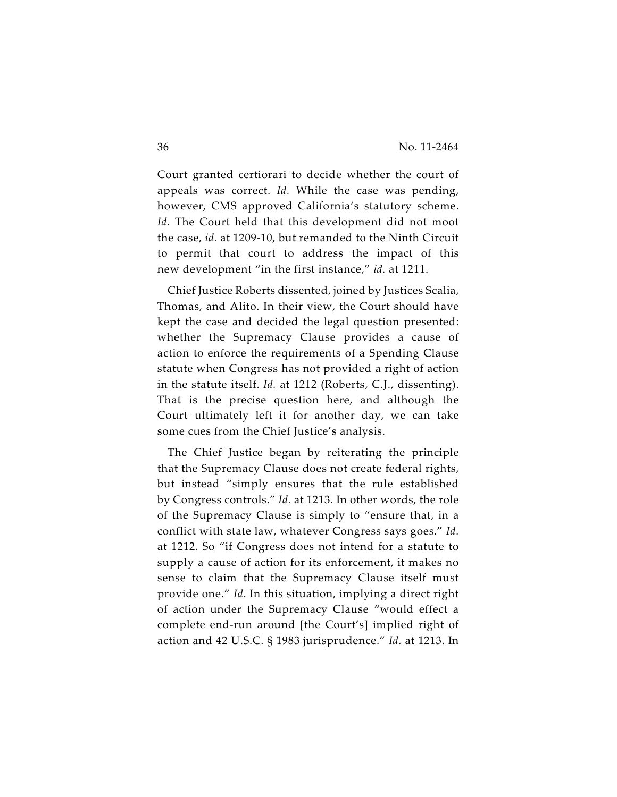Court granted certiorari to decide whether the court of appeals was correct. *Id.* While the case was pending, however, CMS approved California's statutory scheme. *Id.* The Court held that this development did not moot the case, *id.* at 1209-10, but remanded to the Ninth Circuit to permit that court to address the impact of this new development "in the first instance," *id.* at 1211.

Chief Justice Roberts dissented, joined by Justices Scalia, Thomas, and Alito. In their view, the Court should have kept the case and decided the legal question presented: whether the Supremacy Clause provides a cause of action to enforce the requirements of a Spending Clause statute when Congress has not provided a right of action in the statute itself. *Id.* at 1212 (Roberts, C.J., dissenting). That is the precise question here, and although the Court ultimately left it for another day, we can take some cues from the Chief Justice's analysis.

The Chief Justice began by reiterating the principle that the Supremacy Clause does not create federal rights, but instead "simply ensures that the rule established by Congress controls." *Id.* at 1213. In other words, the role of the Supremacy Clause is simply to "ensure that, in a conflict with state law, whatever Congress says goes." *Id.* at 1212. So "if Congress does not intend for a statute to supply a cause of action for its enforcement, it makes no sense to claim that the Supremacy Clause itself must provide one." *Id*. In this situation, implying a direct right of action under the Supremacy Clause "would effect a complete end-run around [the Court's] implied right of action and 42 U.S.C. § 1983 jurisprudence." *Id.* at 1213. In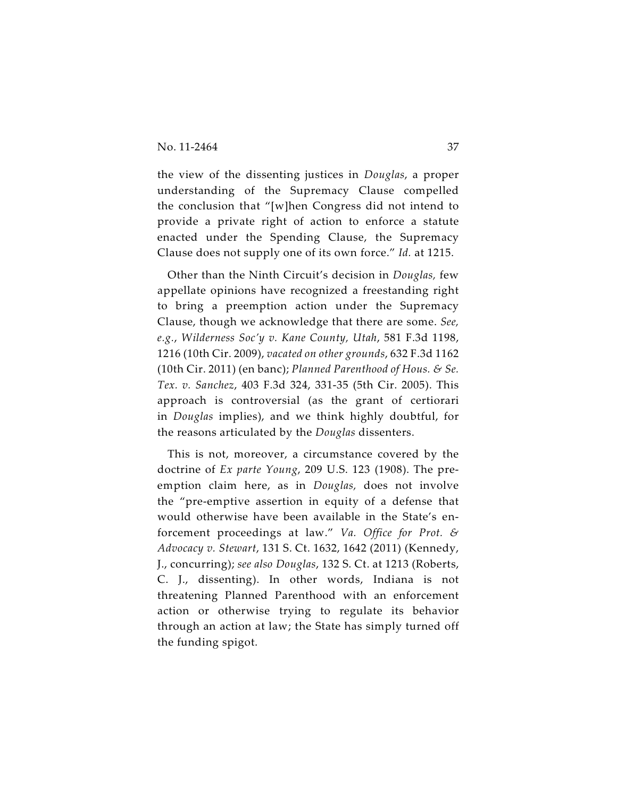the view of the dissenting justices in *Douglas*, a proper understanding of the Supremacy Clause compelled the conclusion that "[w]hen Congress did not intend to provide a private right of action to enforce a statute enacted under the Spending Clause, the Supremacy Clause does not supply one of its own force." *Id.* at 1215.

Other than the Ninth Circuit's decision in *Douglas,* few appellate opinions have recognized a freestanding right to bring a preemption action under the Supremacy Clause, though we acknowledge that there are some. *See, e.g.*, *Wilderness Soc'y v. Kane County, Utah*, 581 F.3d 1198, 1216 (10th Cir. 2009), *vacated on other grounds*, 632 F.3d 1162 (10th Cir. 2011) (en banc); *Planned Parenthood of Hous. & Se. Tex. v. Sanchez*, 403 F.3d 324, 331-35 (5th Cir. 2005). This approach is controversial (as the grant of certiorari in *Douglas* implies), and we think highly doubtful, for the reasons articulated by the *Douglas* dissenters.

This is not, moreover, a circumstance covered by the doctrine of *Ex parte Young*, 209 U.S. 123 (1908). The preemption claim here, as in *Douglas,* does not involve the "pre-emptive assertion in equity of a defense that would otherwise have been available in the State's enforcement proceedings at law." *Va. Office for Prot. & Advocacy v. Stewart*, 131 S. Ct. 1632, 1642 (2011) (Kennedy, J., concurring); *see also Douglas*, 132 S. Ct. at 1213 (Roberts, C. J., dissenting). In other words, Indiana is not threatening Planned Parenthood with an enforcement action or otherwise trying to regulate its behavior through an action at law; the State has simply turned off the funding spigot.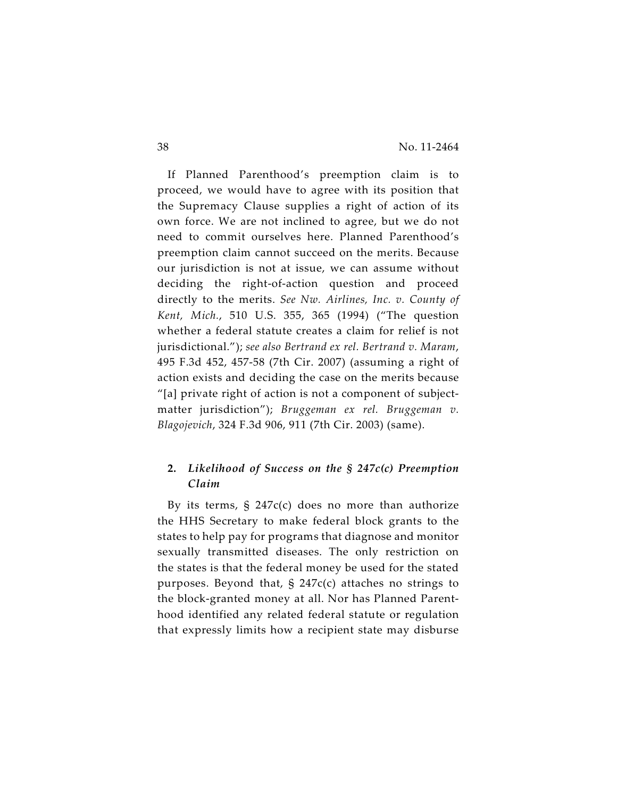If Planned Parenthood's preemption claim is to proceed, we would have to agree with its position that the Supremacy Clause supplies a right of action of its own force. We are not inclined to agree, but we do not need to commit ourselves here. Planned Parenthood's preemption claim cannot succeed on the merits. Because our jurisdiction is not at issue, we can assume without deciding the right-of-action question and proceed directly to the merits. *See Nw. Airlines, Inc. v. County of Kent, Mich.*, 510 U.S. 355, 365 (1994) ("The question whether a federal statute creates a claim for relief is not jurisdictional."); *see also Bertrand ex rel. Bertrand v. Maram*, 495 F.3d 452, 457-58 (7th Cir. 2007) (assuming a right of action exists and deciding the case on the merits because "[a] private right of action is not a component of subjectmatter jurisdiction"); *Bruggeman ex rel. Bruggeman v. Blagojevich*, 324 F.3d 906, 911 (7th Cir. 2003) (same).

## **2.** *Likelihood of Success on the § 247c(c) Preemption Claim*

By its terms,  $\S$  247 $c(c)$  does no more than authorize the HHS Secretary to make federal block grants to the states to help pay for programs that diagnose and monitor sexually transmitted diseases. The only restriction on the states is that the federal money be used for the stated purposes. Beyond that,  $\S$  247 $c(c)$  attaches no strings to the block-granted money at all. Nor has Planned Parenthood identified any related federal statute or regulation that expressly limits how a recipient state may disburse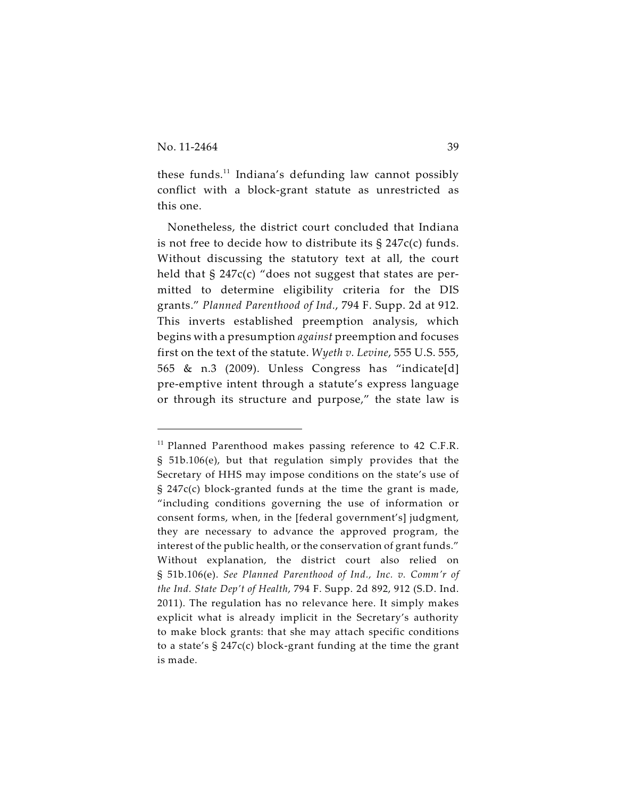these funds.<sup>11</sup> Indiana's defunding law cannot possibly conflict with a block-grant statute as unrestricted as this one.

Nonetheless, the district court concluded that Indiana is not free to decide how to distribute its § 247c(c) funds. Without discussing the statutory text at all, the court held that § 247c(c) "does not suggest that states are permitted to determine eligibility criteria for the DIS grants." *Planned Parenthood of Ind.*, 794 F. Supp. 2d at 912. This inverts established preemption analysis, which begins with a presumption *against* preemption and focuses first on the text of the statute. *Wyeth v. Levine*, 555 U.S. 555, 565 & n.3 (2009). Unless Congress has "indicate[d] pre-emptive intent through a statute's express language or through its structure and purpose," the state law is

 $11$  Planned Parenthood makes passing reference to 42 C.F.R. § 51b.106(e), but that regulation simply provides that the Secretary of HHS may impose conditions on the state's use of § 247c(c) block-granted funds at the time the grant is made, "including conditions governing the use of information or consent forms, when, in the [federal government's] judgment, they are necessary to advance the approved program, the interest of the public health, or the conservation of grant funds." Without explanation, the district court also relied on § 51b.106(e). *See Planned Parenthood of Ind., Inc. v. Comm'r of the Ind. State Dep't of Health*, 794 F. Supp. 2d 892, 912 (S.D. Ind. 2011). The regulation has no relevance here. It simply makes explicit what is already implicit in the Secretary's authority to make block grants: that she may attach specific conditions to a state's § 247c(c) block-grant funding at the time the grant is made.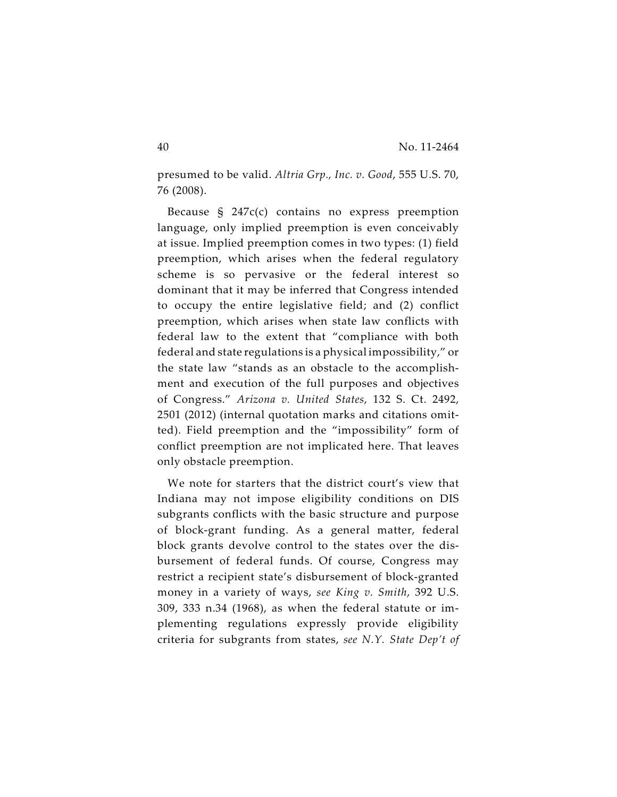presumed to be valid. *Altria Grp., Inc. v. Good*, 555 U.S. 70, 76 (2008).

Because § 247c(c) contains no express preemption language, only implied preemption is even conceivably at issue. Implied preemption comes in two types: (1) field preemption, which arises when the federal regulatory scheme is so pervasive or the federal interest so dominant that it may be inferred that Congress intended to occupy the entire legislative field; and (2) conflict preemption, which arises when state law conflicts with federal law to the extent that "compliance with both federal and state regulations is a physical impossibility," or the state law "stands as an obstacle to the accomplishment and execution of the full purposes and objectives of Congress." *Arizona v. United States*, 132 S. Ct. 2492, 2501 (2012) (internal quotation marks and citations omitted). Field preemption and the "impossibility" form of conflict preemption are not implicated here. That leaves only obstacle preemption.

We note for starters that the district court's view that Indiana may not impose eligibility conditions on DIS subgrants conflicts with the basic structure and purpose of block-grant funding. As a general matter, federal block grants devolve control to the states over the disbursement of federal funds. Of course, Congress may restrict a recipient state's disbursement of block-granted money in a variety of ways, *see King v. Smith*, 392 U.S. 309, 333 n.34 (1968), as when the federal statute or implementing regulations expressly provide eligibility criteria for subgrants from states, *see N.Y. State Dep't of*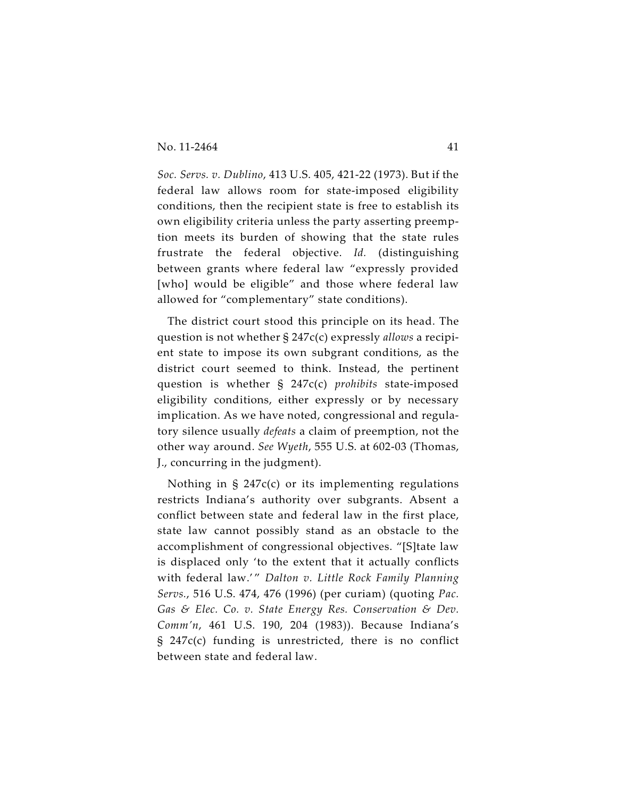*Soc. Servs. v. Dublino*, 413 U.S. 405, 421-22 (1973). But if the federal law allows room for state-imposed eligibility conditions, then the recipient state is free to establish its own eligibility criteria unless the party asserting preemption meets its burden of showing that the state rules frustrate the federal objective. *Id.* (distinguishing between grants where federal law "expressly provided [who] would be eligible" and those where federal law allowed for "complementary" state conditions).

The district court stood this principle on its head. The question is not whether § 247c(c) expressly *allows* a recipient state to impose its own subgrant conditions, as the district court seemed to think. Instead, the pertinent question is whether § 247c(c) *prohibits* state-imposed eligibility conditions, either expressly or by necessary implication. As we have noted, congressional and regulatory silence usually *defeats* a claim of preemption, not the other way around. *See Wyeth*, 555 U.S. at 602-03 (Thomas, J., concurring in the judgment).

Nothing in § 247c(c) or its implementing regulations restricts Indiana's authority over subgrants. Absent a conflict between state and federal law in the first place, state law cannot possibly stand as an obstacle to the accomplishment of congressional objectives. "[S]tate law is displaced only 'to the extent that it actually conflicts with federal law.'" Dalton v. Little Rock Family Planning *Servs.*, 516 U.S. 474, 476 (1996) (per curiam) (quoting *Pac. Gas & Elec. Co. v. State Energy Res. Conservation & Dev. Comm'n*, 461 U.S. 190, 204 (1983)). Because Indiana's § 247c(c) funding is unrestricted, there is no conflict between state and federal law.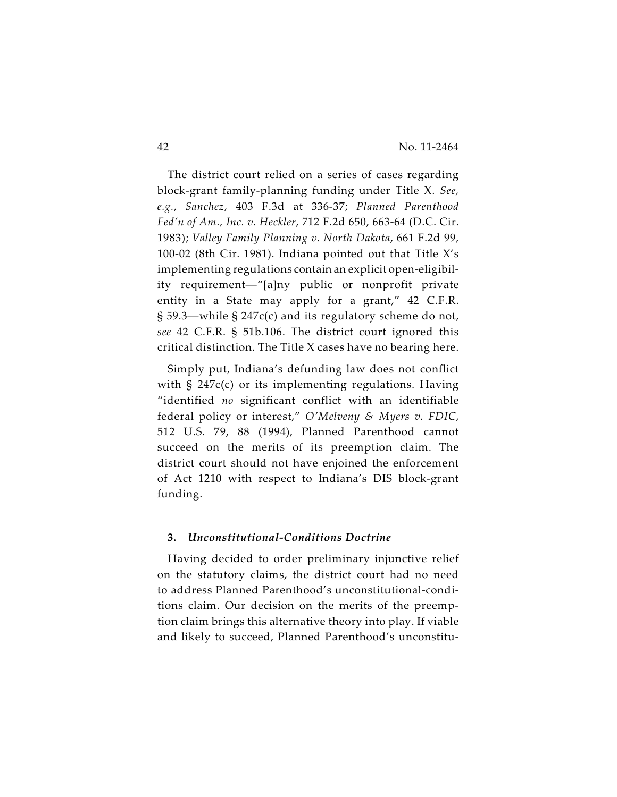The district court relied on a series of cases regarding block-grant family-planning funding under Title X. *See, e.g.*, *Sanchez*, 403 F.3d at 336-37; *Planned Parenthood Fed'n of Am., Inc. v. Heckler*, 712 F.2d 650, 663-64 (D.C. Cir. 1983); *Valley Family Planning v. North Dakota*, 661 F.2d 99, 100-02 (8th Cir. 1981). Indiana pointed out that Title X's implementing regulations contain an explicit open-eligibility requirement—"[a]ny public or nonprofit private entity in a State may apply for a grant," 42 C.F.R. § 59.3—while § 247c(c) and its regulatory scheme do not, *see* 42 C.F.R. § 51b.106. The district court ignored this critical distinction. The Title X cases have no bearing here.

Simply put, Indiana's defunding law does not conflict with  $\frac{1}{2}$  247 $c(c)$  or its implementing regulations. Having "identified *no* significant conflict with an identifiable federal policy or interest," *O'Melveny & Myers v. FDIC*, 512 U.S. 79, 88 (1994), Planned Parenthood cannot succeed on the merits of its preemption claim. The district court should not have enjoined the enforcement of Act 1210 with respect to Indiana's DIS block-grant funding.

#### **3.** *Unconstitutional-Conditions Doctrine*

Having decided to order preliminary injunctive relief on the statutory claims, the district court had no need to address Planned Parenthood's unconstitutional-conditions claim. Our decision on the merits of the preemption claim brings this alternative theory into play. If viable and likely to succeed, Planned Parenthood's unconstitu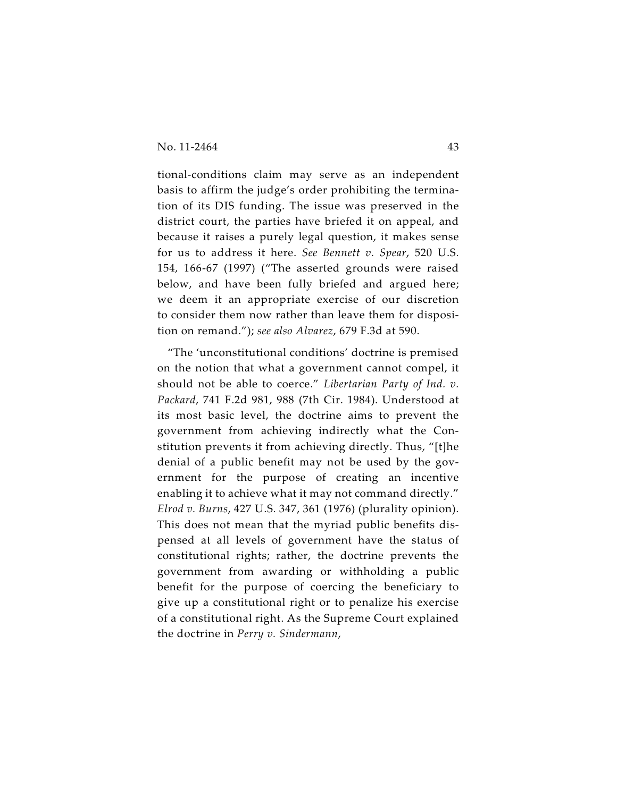tional-conditions claim may serve as an independent basis to affirm the judge's order prohibiting the termination of its DIS funding. The issue was preserved in the district court, the parties have briefed it on appeal, and because it raises a purely legal question, it makes sense for us to address it here. *See Bennett v. Spear*, 520 U.S. 154, 166-67 (1997) ("The asserted grounds were raised below, and have been fully briefed and argued here; we deem it an appropriate exercise of our discretion to consider them now rather than leave them for disposition on remand."); *see also Alvarez*, 679 F.3d at 590.

"The 'unconstitutional conditions' doctrine is premised on the notion that what a government cannot compel, it should not be able to coerce." *Libertarian Party of Ind. v. Packard*, 741 F.2d 981, 988 (7th Cir. 1984). Understood at its most basic level, the doctrine aims to prevent the government from achieving indirectly what the Constitution prevents it from achieving directly. Thus, "[t]he denial of a public benefit may not be used by the government for the purpose of creating an incentive enabling it to achieve what it may not command directly." *Elrod v. Burns*, 427 U.S. 347, 361 (1976) (plurality opinion). This does not mean that the myriad public benefits dispensed at all levels of government have the status of constitutional rights; rather, the doctrine prevents the government from awarding or withholding a public benefit for the purpose of coercing the beneficiary to give up a constitutional right or to penalize his exercise of a constitutional right. As the Supreme Court explained the doctrine in *Perry v. Sindermann*,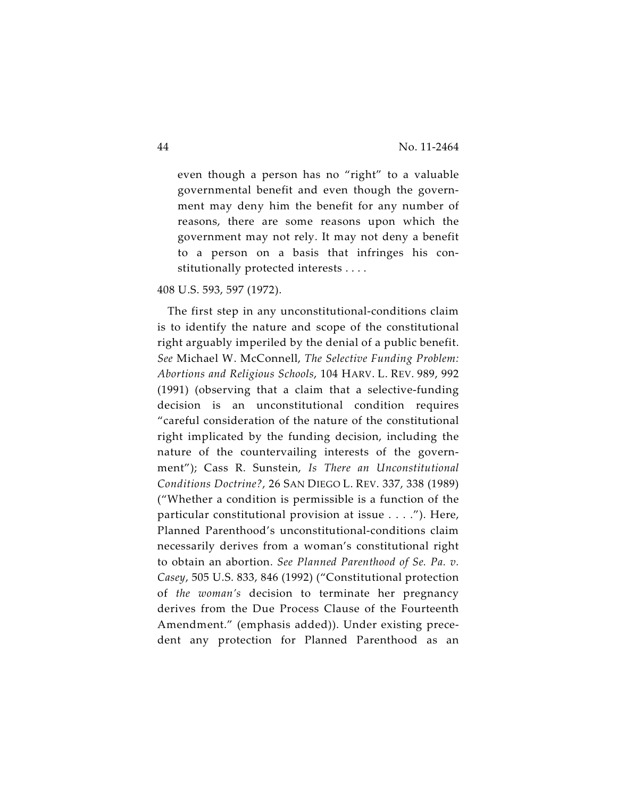even though a person has no "right" to a valuable governmental benefit and even though the government may deny him the benefit for any number of reasons, there are some reasons upon which the government may not rely. It may not deny a benefit to a person on a basis that infringes his constitutionally protected interests . . . .

408 U.S. 593, 597 (1972).

The first step in any unconstitutional-conditions claim is to identify the nature and scope of the constitutional right arguably imperiled by the denial of a public benefit. *See* Michael W. McConnell, *The Selective Funding Problem: Abortions and Religious Schools*, 104 HARV. L. REV. 989, 992 (1991) (observing that a claim that a selective-funding decision is an unconstitutional condition requires "careful consideration of the nature of the constitutional right implicated by the funding decision, including the nature of the countervailing interests of the government"); Cass R. Sunstein, *Is There an Unconstitutional Conditions Doctrine?*, 26 SAN DIEGO L. REV. 337, 338 (1989) ("Whether a condition is permissible is a function of the particular constitutional provision at issue . . . ."). Here, Planned Parenthood's unconstitutional-conditions claim necessarily derives from a woman's constitutional right to obtain an abortion. *See Planned Parenthood of Se. Pa. v. Casey*, 505 U.S. 833, 846 (1992) ("Constitutional protection of *the woman's* decision to terminate her pregnancy derives from the Due Process Clause of the Fourteenth Amendment." (emphasis added)). Under existing precedent any protection for Planned Parenthood as an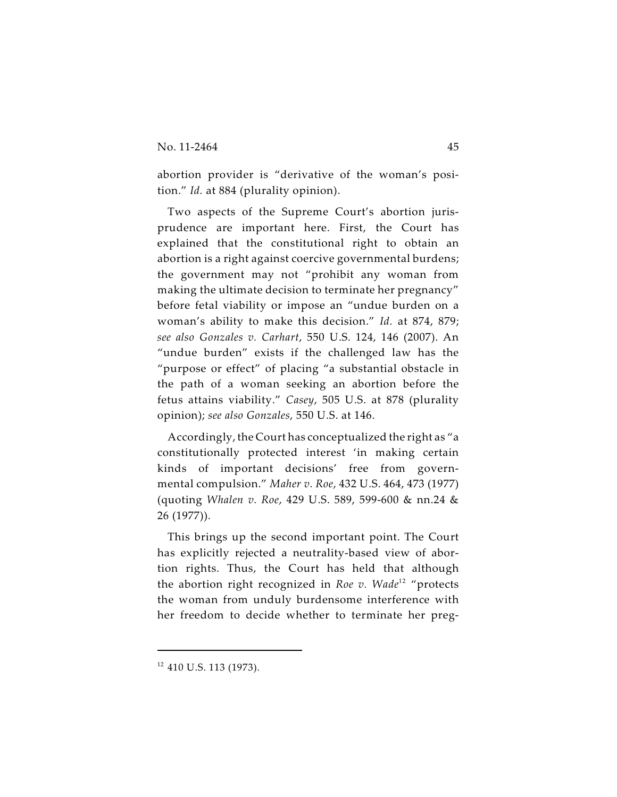abortion provider is "derivative of the woman's position." *Id.* at 884 (plurality opinion).

Two aspects of the Supreme Court's abortion jurisprudence are important here. First, the Court has explained that the constitutional right to obtain an abortion is a right against coercive governmental burdens; the government may not "prohibit any woman from making the ultimate decision to terminate her pregnancy" before fetal viability or impose an "undue burden on a woman's ability to make this decision." *Id.* at 874, 879; *see also Gonzales v. Carhart*, 550 U.S. 124, 146 (2007). An "undue burden" exists if the challenged law has the "purpose or effect" of placing "a substantial obstacle in the path of a woman seeking an abortion before the fetus attains viability." *Casey*, 505 U.S. at 878 (plurality opinion); *see also Gonzales*, 550 U.S. at 146.

Accordingly, the Court has conceptualized the right as "a constitutionally protected interest 'in making certain kinds of important decisions' free from governmental compulsion." *Maher v. Roe*, 432 U.S. 464, 473 (1977) (quoting *Whalen v. Roe*, 429 U.S. 589, 599-600 & nn.24 & 26 (1977)).

This brings up the second important point. The Court has explicitly rejected a neutrality-based view of abortion rights. Thus, the Court has held that although the abortion right recognized in *Roe v. Wade<sup>12</sup> "*protects the woman from unduly burdensome interference with her freedom to decide whether to terminate her preg-

 $12$  410 U.S. 113 (1973).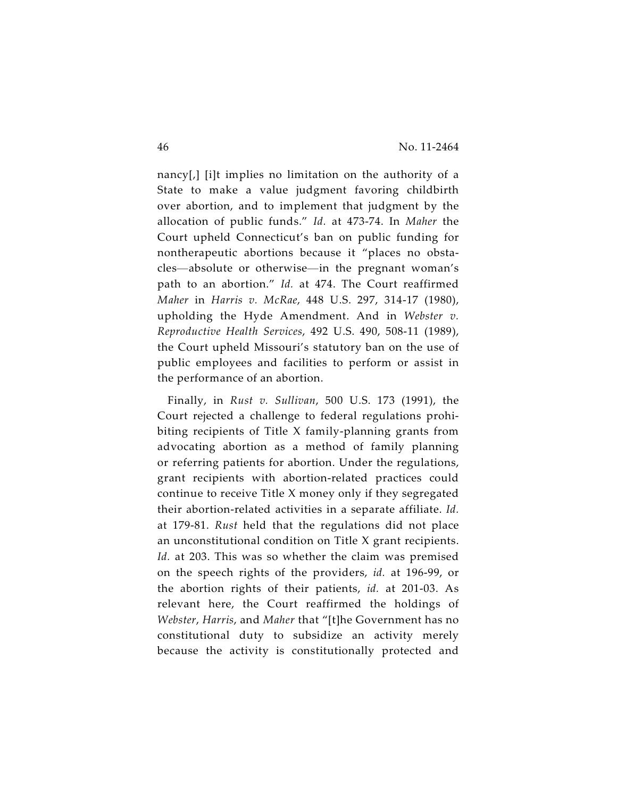nancy[,] [i]t implies no limitation on the authority of a State to make a value judgment favoring childbirth over abortion, and to implement that judgment by the allocation of public funds." *Id.* at 473-74. In *Maher* the Court upheld Connecticut's ban on public funding for nontherapeutic abortions because it "places no obstacles—absolute or otherwise—in the pregnant woman's path to an abortion." *Id.* at 474. The Court reaffirmed *Maher* in *Harris v. McRae*, 448 U.S. 297, 314-17 (1980), upholding the Hyde Amendment. And in *Webster v. Reproductive Health Services*, 492 U.S. 490, 508-11 (1989), the Court upheld Missouri's statutory ban on the use of public employees and facilities to perform or assist in the performance of an abortion.

Finally, in *Rust v. Sullivan*, 500 U.S. 173 (1991), the Court rejected a challenge to federal regulations prohibiting recipients of Title X family-planning grants from advocating abortion as a method of family planning or referring patients for abortion. Under the regulations, grant recipients with abortion-related practices could continue to receive Title X money only if they segregated their abortion-related activities in a separate affiliate. *Id.* at 179-81. *Rust* held that the regulations did not place an unconstitutional condition on Title X grant recipients. *Id.* at 203. This was so whether the claim was premised on the speech rights of the providers, *id.* at 196-99, or the abortion rights of their patients, *id.* at 201-03. As relevant here, the Court reaffirmed the holdings of *Webster*, *Harris*, and *Maher* that "[t]he Government has no constitutional duty to subsidize an activity merely because the activity is constitutionally protected and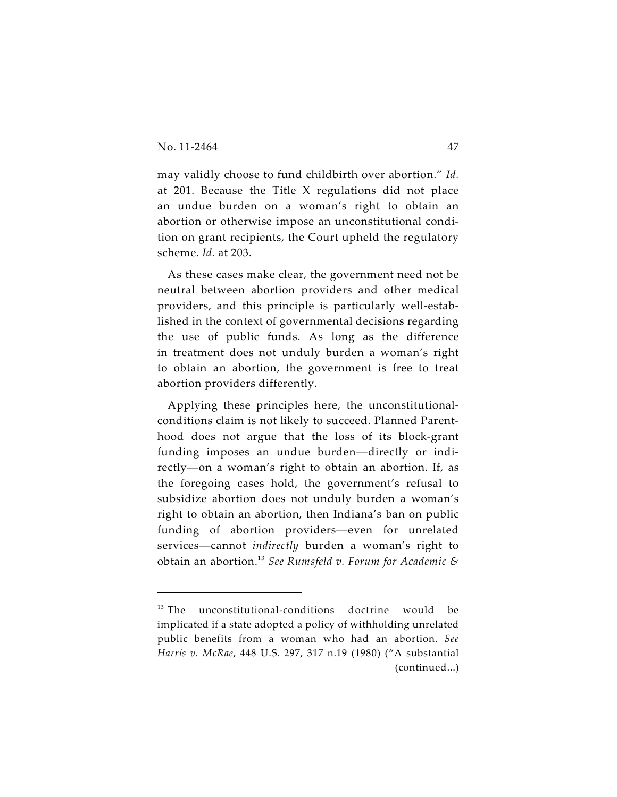may validly choose to fund childbirth over abortion." *Id.* at 201. Because the Title X regulations did not place an undue burden on a woman's right to obtain an abortion or otherwise impose an unconstitutional condition on grant recipients, the Court upheld the regulatory scheme. *Id.* at 203.

As these cases make clear, the government need not be neutral between abortion providers and other medical providers, and this principle is particularly well-established in the context of governmental decisions regarding the use of public funds. As long as the difference in treatment does not unduly burden a woman's right to obtain an abortion, the government is free to treat abortion providers differently.

Applying these principles here, the unconstitutionalconditions claim is not likely to succeed. Planned Parenthood does not argue that the loss of its block-grant funding imposes an undue burden—directly or indirectly—on a woman's right to obtain an abortion. If, as the foregoing cases hold, the government's refusal to subsidize abortion does not unduly burden a woman's right to obtain an abortion, then Indiana's ban on public funding of abortion providers—even for unrelated services—cannot *indirectly* burden a woman's right to obtain an abortion. *See Rumsfeld v. Forum for Academic &* 13

 $13$  The unconstitutional-conditions doctrine would be implicated if a state adopted a policy of withholding unrelated public benefits from a woman who had an abortion. *See Harris v. McRae*, 448 U.S. 297, 317 n.19 (1980) ("A substantial (continued...)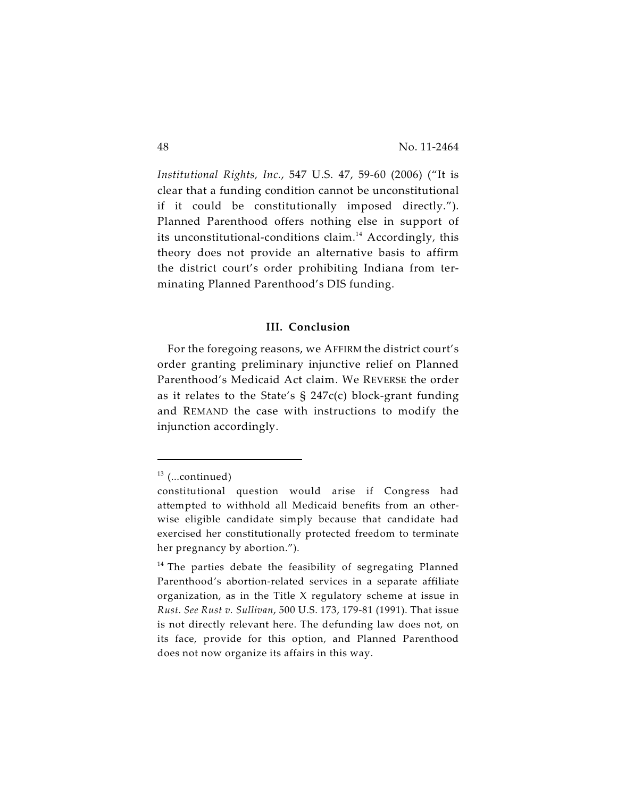*Institutional Rights, Inc.*, 547 U.S. 47, 59-60 (2006) ("It is clear that a funding condition cannot be unconstitutional if it could be constitutionally imposed directly."). Planned Parenthood offers nothing else in support of its unconstitutional-conditions claim.<sup>14</sup> Accordingly, this theory does not provide an alternative basis to affirm the district court's order prohibiting Indiana from terminating Planned Parenthood's DIS funding.

#### **III. Conclusion**

For the foregoing reasons, we AFFIRM the district court's order granting preliminary injunctive relief on Planned Parenthood's Medicaid Act claim. We REVERSE the order as it relates to the State's  $\S$  247c(c) block-grant funding and REMAND the case with instructions to modify the injunction accordingly.

 $13$  (...continued)

constitutional question would arise if Congress had attempted to withhold all Medicaid benefits from an otherwise eligible candidate simply because that candidate had exercised her constitutionally protected freedom to terminate her pregnancy by abortion.").

 $14$  The parties debate the feasibility of segregating Planned Parenthood's abortion-related services in a separate affiliate organization, as in the Title X regulatory scheme at issue in *Rust*. *See Rust v. Sullivan*, 500 U.S. 173, 179-81 (1991). That issue is not directly relevant here. The defunding law does not, on its face, provide for this option, and Planned Parenthood does not now organize its affairs in this way.